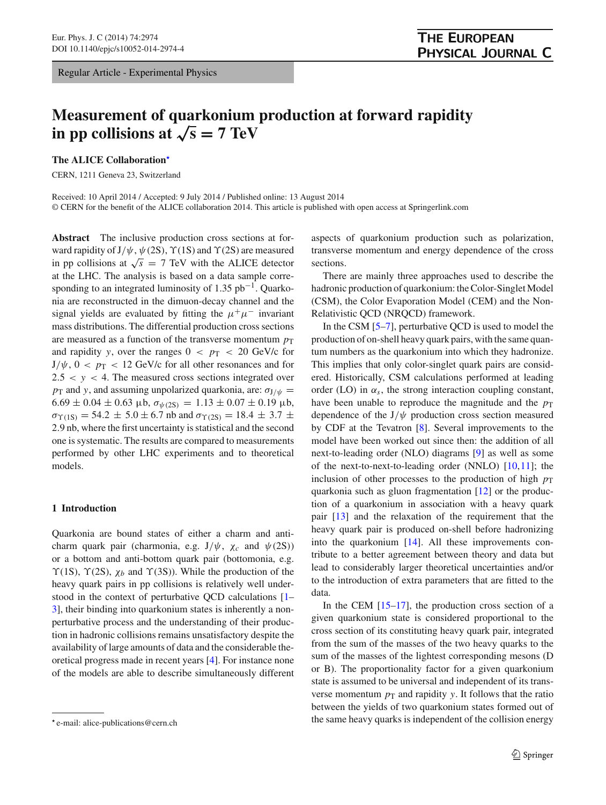Regular Article - Experimental Physics

# **Measurement of quarkonium production at forward rapidity in pp collisions at**  $\sqrt{s} = 7$  TeV

**The ALICE Collaboration**[-](#page-0-0)

CERN, 1211 Geneva 23, Switzerland

Received: 10 April 2014 / Accepted: 9 July 2014 / Published online: 13 August 2014 © CERN for the benefit of the ALICE collaboration 2014. This article is published with open access at Springerlink.com

**Abstract** The inclusive production cross sections at forward rapidity of  $J/\psi$ ,  $\psi$  (2S),  $\Upsilon$  (1S) and  $\Upsilon$  (2S) are measured in pp collisions at  $\sqrt{s}$  = 7 TeV with the ALICE detector at the LHC. The analysis is based on a data sample corresponding to an integrated luminosity of 1.35  $pb^{-1}$ . Quarkonia are reconstructed in the dimuon-decay channel and the signal yields are evaluated by fitting the  $\mu^+ \mu^-$  invariant mass distributions. The differential production cross sections are measured as a function of the transverse momentum  $p_T$ and rapidity *y*, over the ranges  $0 < p_T < 20$  GeV/c for  $J/\psi$ ,  $0 < p_T < 12$  GeV/c for all other resonances and for  $2.5 < y < 4$ . The measured cross sections integrated over  $p_T$  and *y*, and assuming unpolarized quarkonia, are:  $\sigma_{J/\psi}$  =  $6.69 \pm 0.04 \pm 0.63 \mu b$ ,  $\sigma_{\psi(2S)} = 1.13 \pm 0.07 \pm 0.19 \mu b$ ,  $\sigma_{\Upsilon(1S)} = 54.2 \pm 5.0 \pm 6.7$  nb and  $\sigma_{\Upsilon(2S)} = 18.4 \pm 3.7 \pm 1.0$ 2.9 nb, where the first uncertainty is statistical and the second one is systematic. The results are compared to measurements performed by other LHC experiments and to theoretical models.

# **1 Introduction**

Quarkonia are bound states of either a charm and anticharm quark pair (charmonia, e.g.  $J/\psi$ ,  $\chi_c$  and  $\psi$ (2S)) or a bottom and anti-bottom quark pair (bottomonia, e.g.  $\Upsilon(1S)$ ,  $\Upsilon(2S)$ ,  $\chi_b$  and  $\Upsilon(3S)$ ). While the production of the heavy quark pairs in pp collisions is relatively well understood in the context of perturbative QCD calculations [\[1](#page-13-0)– [3](#page-13-1)], their binding into quarkonium states is inherently a nonperturbative process and the understanding of their production in hadronic collisions remains unsatisfactory despite the availability of large amounts of data and the considerable theoretical progress made in recent years [\[4\]](#page-13-2). For instance none of the models are able to describe simultaneously different

aspects of quarkonium production such as polarization, transverse momentum and energy dependence of the cross sections.

There are mainly three approaches used to describe the hadronic production of quarkonium: the Color-Singlet Model (CSM), the Color Evaporation Model (CEM) and the Non-Relativistic QCD (NRQCD) framework.

In the CSM  $[5-7]$  $[5-7]$ , perturbative QCD is used to model the production of on-shell heavy quark pairs, with the same quantum numbers as the quarkonium into which they hadronize. This implies that only color-singlet quark pairs are considered. Historically, CSM calculations performed at leading order (LO) in  $\alpha_s$ , the strong interaction coupling constant, have been unable to reproduce the magnitude and the  $p<sub>T</sub>$ dependence of the  $J/\psi$  production cross section measured by CDF at the Tevatron [\[8](#page-13-5)]. Several improvements to the model have been worked out since then: the addition of all next-to-leading order (NLO) diagrams [\[9](#page-13-6)] as well as some of the next-to-next-to-leading order (NNLO)  $[10, 11]$  $[10, 11]$  $[10, 11]$ ; the inclusion of other processes to the production of high  $p<sub>T</sub>$ quarkonia such as gluon fragmentation [\[12](#page-14-0)] or the production of a quarkonium in association with a heavy quark pair [\[13\]](#page-14-1) and the relaxation of the requirement that the heavy quark pair is produced on-shell before hadronizing into the quarkonium [\[14](#page-14-2)]. All these improvements contribute to a better agreement between theory and data but lead to considerably larger theoretical uncertainties and/or to the introduction of extra parameters that are fitted to the data.

In the CEM [\[15](#page-14-3)[–17](#page-14-4)], the production cross section of a given quarkonium state is considered proportional to the cross section of its constituting heavy quark pair, integrated from the sum of the masses of the two heavy quarks to the sum of the masses of the lightest corresponding mesons (D or B). The proportionality factor for a given quarkonium state is assumed to be universal and independent of its transverse momentum  $p_T$  and rapidity *y*. It follows that the ratio between the yields of two quarkonium states formed out of the same heavy quarks is independent of the collision energy

<span id="page-0-0"></span><sup>\*</sup> e-mail: alice-publications@cern.ch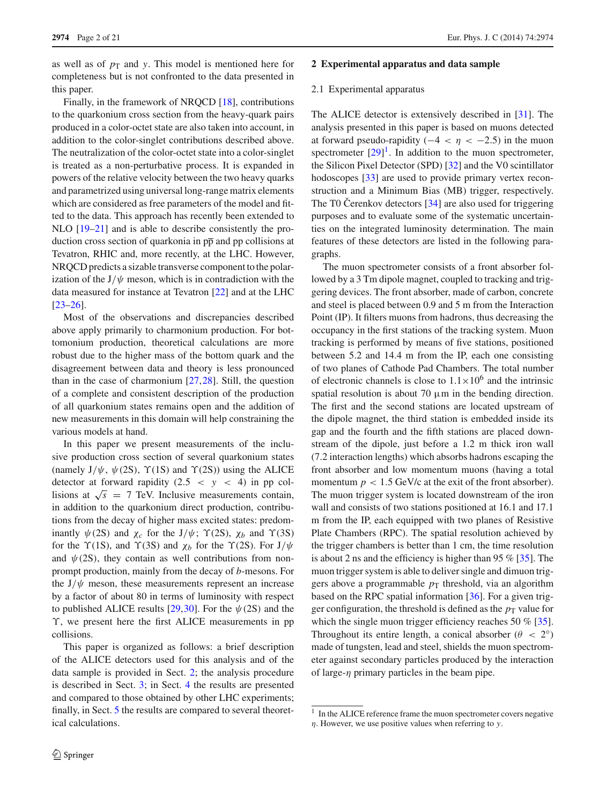as well as of  $p_T$  and *y*. This model is mentioned here for completeness but is not confronted to the data presented in this paper.

Finally, in the framework of NRQCD [\[18](#page-14-5)], contributions to the quarkonium cross section from the heavy-quark pairs produced in a color-octet state are also taken into account, in addition to the color-singlet contributions described above. The neutralization of the color-octet state into a color-singlet is treated as a non-perturbative process. It is expanded in powers of the relative velocity between the two heavy quarks and parametrized using universal long-range matrix elements which are considered as free parameters of the model and fitted to the data. This approach has recently been extended to NLO  $[19-21]$  $[19-21]$  and is able to describe consistently the production cross section of quarkonia in  $p\bar{p}$  and pp collisions at Tevatron, RHIC and, more recently, at the LHC. However, NRQCD predicts a sizable transverse component to the polarization of the  $J/\psi$  meson, which is in contradiction with the data measured for instance at Tevatron [\[22](#page-14-8)] and at the LHC [\[23](#page-14-9)[–26](#page-14-10)].

Most of the observations and discrepancies described above apply primarily to charmonium production. For bottomonium production, theoretical calculations are more robust due to the higher mass of the bottom quark and the disagreement between data and theory is less pronounced than in the case of charmonium  $[27,28]$  $[27,28]$  $[27,28]$ . Still, the question of a complete and consistent description of the production of all quarkonium states remains open and the addition of new measurements in this domain will help constraining the various models at hand.

In this paper we present measurements of the inclusive production cross section of several quarkonium states (namely  $J/\psi$ ,  $\psi$ (2S),  $\Upsilon$ (1S) and  $\Upsilon$ (2S)) using the ALICE detector at forward rapidity  $(2.5 < y < 4)$  in pp collisions at  $\sqrt{s}$  = 7 TeV. Inclusive measurements contain, in addition to the quarkonium direct production, contributions from the decay of higher mass excited states: predominantly  $\psi$ (2S) and  $\chi_c$  for the J/ $\psi$ ;  $\Upsilon$ (2S),  $\chi_b$  and  $\Upsilon$ (3S) for the  $\Upsilon(1S)$ , and  $\Upsilon(3S)$  and  $\chi_b$  for the  $\Upsilon(2S)$ . For  $J/\psi$ and  $\psi$ (2S), they contain as well contributions from nonprompt production, mainly from the decay of *b*-mesons. For the  $J/\psi$  meson, these measurements represent an increase by a factor of about 80 in terms of luminosity with respect to published ALICE results [\[29,](#page-14-13)[30\]](#page-14-14). For the  $\psi$  (2S) and the ϒ, we present here the first ALICE measurements in pp collisions.

This paper is organized as follows: a brief description of the ALICE detectors used for this analysis and of the data sample is provided in Sect. [2;](#page-1-0) the analysis procedure is described in Sect. [3;](#page-2-0) in Sect. [4](#page-5-0) the results are presented and compared to those obtained by other LHC experiments; finally, in Sect. [5](#page-7-0) the results are compared to several theoretical calculations.

### <span id="page-1-0"></span>**2 Experimental apparatus and data sample**

### 2.1 Experimental apparatus

The ALICE detector is extensively described in [\[31](#page-14-15)]. The analysis presented in this paper is based on muons detected at forward pseudo-rapidity ( $-4 < \eta < -2.5$ ) in the muon spectrometer  $[29]$ <sup>[1](#page-1-1)</sup>. In addition to the muon spectrometer, the Silicon Pixel Detector (SPD) [\[32\]](#page-14-16) and the V0 scintillator hodoscopes [\[33](#page-14-17)] are used to provide primary vertex reconstruction and a Minimum Bias (MB) trigger, respectively. The T0 Čerenkov detectors  $[34]$  $[34]$  are also used for triggering purposes and to evaluate some of the systematic uncertainties on the integrated luminosity determination. The main features of these detectors are listed in the following paragraphs.

The muon spectrometer consists of a front absorber followed by a 3 Tm dipole magnet, coupled to tracking and triggering devices. The front absorber, made of carbon, concrete and steel is placed between 0.9 and 5 m from the Interaction Point (IP). It filters muons from hadrons, thus decreasing the occupancy in the first stations of the tracking system. Muon tracking is performed by means of five stations, positioned between 5.2 and 14.4 m from the IP, each one consisting of two planes of Cathode Pad Chambers. The total number of electronic channels is close to  $1.1 \times 10^6$  and the intrinsic spatial resolution is about 70  $\mu$ m in the bending direction. The first and the second stations are located upstream of the dipole magnet, the third station is embedded inside its gap and the fourth and the fifth stations are placed downstream of the dipole, just before a 1.2 m thick iron wall (7.2 interaction lengths) which absorbs hadrons escaping the front absorber and low momentum muons (having a total momentum  $p < 1.5$  GeV/c at the exit of the front absorber). The muon trigger system is located downstream of the iron wall and consists of two stations positioned at 16.1 and 17.1 m from the IP, each equipped with two planes of Resistive Plate Chambers (RPC). The spatial resolution achieved by the trigger chambers is better than 1 cm, the time resolution is about 2 ns and the efficiency is higher than 95  $\%$  [\[35\]](#page-14-19). The muon trigger system is able to deliver single and dimuon triggers above a programmable  $p<sub>T</sub>$  threshold, via an algorithm based on the RPC spatial information [\[36](#page-14-20)]. For a given trigger configuration, the threshold is defined as the  $p<sub>T</sub>$  value for which the single muon trigger efficiency reaches 50 % [\[35](#page-14-19)]. Throughout its entire length, a conical absorber ( $\theta < 2^{\circ}$ ) made of tungsten, lead and steel, shields the muon spectrometer against secondary particles produced by the interaction of large- $\eta$  primary particles in the beam pipe.

<sup>&</sup>lt;sup>1</sup> In the ALICE reference frame the muon spectrometer covers negative

<span id="page-1-1"></span>η. However, we use positive values when referring to *y*.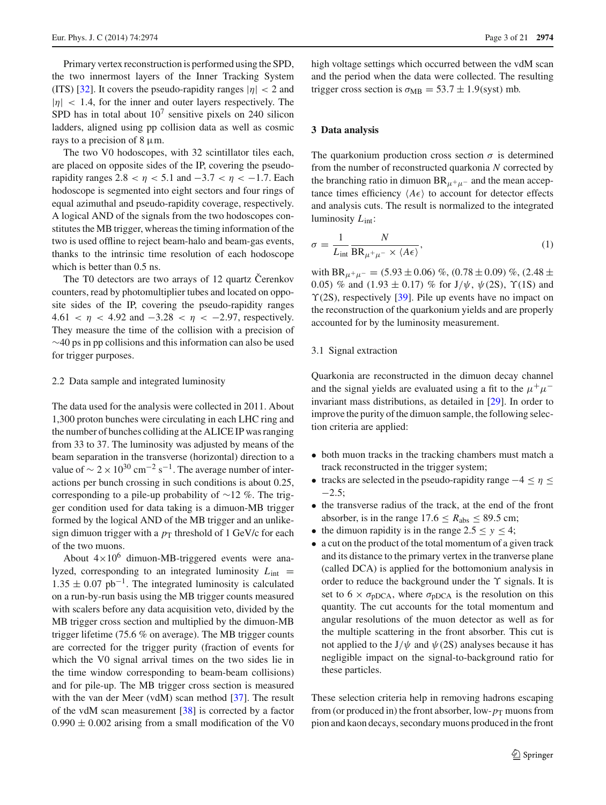Primary vertex reconstruction is performed using the SPD, the two innermost layers of the Inner Tracking System (ITS) [\[32](#page-14-16)]. It covers the pseudo-rapidity ranges  $|\eta| < 2$  and  $|\eta|$  < 1.4, for the inner and outer layers respectively. The SPD has in total about  $10^7$  sensitive pixels on 240 silicon ladders, aligned using pp collision data as well as cosmic rays to a precision of  $8 \mu m$ .

The two V0 hodoscopes, with 32 scintillator tiles each, are placed on opposite sides of the IP, covering the pseudorapidity ranges  $2.8 < \eta < 5.1$  and  $-3.7 < \eta < -1.7$ . Each hodoscope is segmented into eight sectors and four rings of equal azimuthal and pseudo-rapidity coverage, respectively. A logical AND of the signals from the two hodoscopes constitutes the MB trigger, whereas the timing information of the two is used offline to reject beam-halo and beam-gas events, thanks to the intrinsic time resolution of each hodoscope which is better than 0.5 ns.

The T0 detectors are two arrays of 12 quartz Cerenkov counters, read by photomultiplier tubes and located on opposite sides of the IP, covering the pseudo-rapidity ranges 4.61 <  $n$  < 4.92 and  $-3.28 < n$  <  $-2.97$ , respectively. They measure the time of the collision with a precision of  $\sim$ 40 ps in pp collisions and this information can also be used for trigger purposes.

## 2.2 Data sample and integrated luminosity

The data used for the analysis were collected in 2011. About 1,300 proton bunches were circulating in each LHC ring and the number of bunches colliding at the ALICE IP was ranging from 33 to 37. The luminosity was adjusted by means of the beam separation in the transverse (horizontal) direction to a value of  $\sim$  2 × 10<sup>30</sup> cm<sup>-2</sup> s<sup>-1</sup>. The average number of interactions per bunch crossing in such conditions is about 0.25, corresponding to a pile-up probability of ∼12 %. The trigger condition used for data taking is a dimuon-MB trigger formed by the logical AND of the MB trigger and an unlikesign dimuon trigger with a  $p<sub>T</sub>$  threshold of 1 GeV/c for each of the two muons.

About  $4 \times 10^6$  dimuon-MB-triggered events were analyzed, corresponding to an integrated luminosity  $L_{int}$  =  $1.35 \pm 0.07$  pb<sup>-1</sup>. The integrated luminosity is calculated on a run-by-run basis using the MB trigger counts measured with scalers before any data acquisition veto, divided by the MB trigger cross section and multiplied by the dimuon-MB trigger lifetime (75.6 % on average). The MB trigger counts are corrected for the trigger purity (fraction of events for which the V0 signal arrival times on the two sides lie in the time window corresponding to beam-beam collisions) and for pile-up. The MB trigger cross section is measured with the van der Meer (vdM) scan method [\[37\]](#page-14-21). The result of the vdM scan measurement [\[38\]](#page-14-22) is corrected by a factor  $0.990 \pm 0.002$  arising from a small modification of the V0 high voltage settings which occurred between the vdM scan and the period when the data were collected. The resulting trigger cross section is  $\sigma_{\text{MB}} = 53.7 \pm 1.9$ (syst) mb.

# <span id="page-2-0"></span>**3 Data analysis**

The quarkonium production cross section  $\sigma$  is determined from the number of reconstructed quarkonia *N* corrected by the branching ratio in dimuon  $BR_{\mu^+\mu^-}$  and the mean acceptance times efficiency  $\langle A \epsilon \rangle$  to account for detector effects and analysis cuts. The result is normalized to the integrated luminosity  $L_{\text{int}}$ :

$$
\sigma = \frac{1}{L_{\text{int}} \, BR_{\mu^+\mu^-} \times \langle A\epsilon \rangle},\tag{1}
$$

with BR<sub>u+u</sub>- = (5.93 ± 0.06) %, (0.78 ± 0.09) %, (2.48 ± 0.05) % and  $(1.93 \pm 0.17)$  % for  $J/\psi$ ,  $\psi$  (2S),  $\Upsilon$ (1S) and  $\Upsilon(2S)$ , respectively [\[39](#page-14-23)]. Pile up events have no impact on the reconstruction of the quarkonium yields and are properly accounted for by the luminosity measurement.

#### <span id="page-2-1"></span>3.1 Signal extraction

Quarkonia are reconstructed in the dimuon decay channel and the signal yields are evaluated using a fit to the  $\mu^+\mu^$ invariant mass distributions, as detailed in [\[29](#page-14-13)]. In order to improve the purity of the dimuon sample, the following selection criteria are applied:

- both muon tracks in the tracking chambers must match a track reconstructed in the trigger system;
- tracks are selected in the pseudo-rapidity range  $-4 \leq \eta \leq$  $-2.5$ ;
- the transverse radius of the track, at the end of the front absorber, is in the range  $17.6 \le R_{\text{abs}} \le 89.5 \text{ cm}$ ;
- the dimuon rapidity is in the range  $2.5 \le y \le 4$ ;
- a cut on the product of the total momentum of a given track and its distance to the primary vertex in the tranverse plane (called DCA) is applied for the bottomonium analysis in order to reduce the background under the  $\Upsilon$  signals. It is set to 6  $\times$   $\sigma_{\text{pDCA}}$ , where  $\sigma_{\text{pDCA}}$  is the resolution on this quantity. The cut accounts for the total momentum and angular resolutions of the muon detector as well as for the multiple scattering in the front absorber. This cut is not applied to the  $J/\psi$  and  $\psi$  (2S) analyses because it has negligible impact on the signal-to-background ratio for these particles.

These selection criteria help in removing hadrons escaping from (or produced in) the front absorber, low- $p_T$  muons from pion and kaon decays, secondary muons produced in the front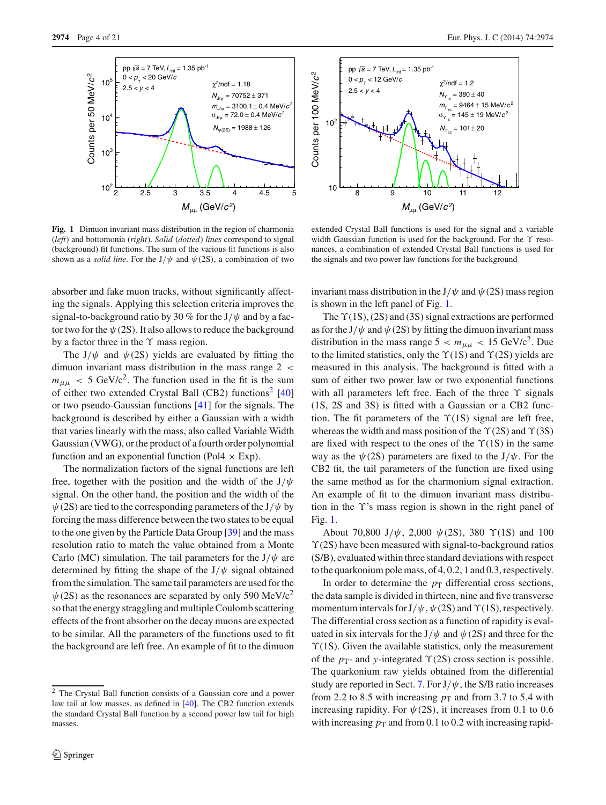

<span id="page-3-1"></span>**Fig. 1** Dimuon invariant mass distribution in the region of charmonia (*left*) and bottomonia (*right*). *Solid* (*dotted*) *lines* correspond to signal (background) fit functions. The sum of the various fit functions is also shown as a *solid line*. For the  $J/\psi$  and  $\psi$  (2S), a combination of two



extended Crystal Ball functions is used for the signal and a variable width Gaussian function is used for the background. For the Υ resonances, a combination of extended Crystal Ball functions is used for the signals and two power law functions for the background

absorber and fake muon tracks, without significantly affecting the signals. Applying this selection criteria improves the signal-to-background ratio by 30 % for the  $J/\psi$  and by a factor two for the  $\psi$  (2S). It also allows to reduce the background by a factor three in the  $\Upsilon$  mass region.

The J/ $\psi$  and  $\psi$ (2S) yields are evaluated by fitting the dimuon invariant mass distribution in the mass range 2 <  $m_{\mu\mu}$  < 5 GeV/c<sup>2</sup>. The function used in the fit is the sum of either two extended Crystal Ball (CB[2](#page-3-0)) functions<sup>2</sup> [\[40\]](#page-14-24) or two pseudo-Gaussian functions [\[41](#page-14-25)] for the signals. The background is described by either a Gaussian with a width that varies linearly with the mass, also called Variable Width Gaussian (VWG), or the product of a fourth order polynomial function and an exponential function (Pol $4 \times Exp$ ).

The normalization factors of the signal functions are left free, together with the position and the width of the  $J/\psi$ signal. On the other hand, the position and the width of the  $\psi$  (2S) are tied to the corresponding parameters of the J/ $\psi$  by forcing the mass difference between the two states to be equal to the one given by the Particle Data Group [\[39\]](#page-14-23) and the mass resolution ratio to match the value obtained from a Monte Carlo (MC) simulation. The tail parameters for the  $J/\psi$  are determined by fitting the shape of the  $J/\psi$  signal obtained from the simulation. The same tail parameters are used for the  $\psi$ (2S) as the resonances are separated by only 590 MeV/c<sup>2</sup> so that the energy straggling and multiple Coulomb scattering effects of the front absorber on the decay muons are expected to be similar. All the parameters of the functions used to fit the background are left free. An example of fit to the dimuon

invariant mass distribution in the  $J/\psi$  and  $\psi$  (2S) mass region is shown in the left panel of Fig. [1.](#page-3-1)

The  $\Upsilon(1S)$ , (2S) and (3S) signal extractions are performed as for the J/ $\psi$  and  $\psi$  (2S) by fitting the dimuon invariant mass distribution in the mass range  $5 < m_{\mu\mu} < 15 \text{ GeV/c}^2$ . Due to the limited statistics, only the  $\Upsilon(1S)$  and  $\Upsilon(2S)$  yields are measured in this analysis. The background is fitted with a sum of either two power law or two exponential functions with all parameters left free. Each of the three Υ signals (1S, 2S and 3S) is fitted with a Gaussian or a CB2 function. The fit parameters of the  $\Upsilon(1S)$  signal are left free, whereas the width and mass position of the  $\Upsilon(2S)$  and  $\Upsilon(3S)$ are fixed with respect to the ones of the  $\Upsilon(1S)$  in the same way as the  $\psi$ (2S) parameters are fixed to the J/ $\psi$ . For the CB2 fit, the tail parameters of the function are fixed using the same method as for the charmonium signal extraction. An example of fit to the dimuon invariant mass distribution in the ϒ's mass region is shown in the right panel of Fig. [1.](#page-3-1)

About 70,800 J/ $\psi$ , 2,000  $\psi$  (2S), 380  $\Upsilon$  (1S) and 100  $\Upsilon(2S)$  have been measured with signal-to-background ratios (S/B), evaluated within three standard deviations with respect to the quarkonium pole mass, of 4, 0.2, 1 and 0.3, respectively.

In order to determine the  $p<sub>T</sub>$  differential cross sections, the data sample is divided in thirteen, nine and five transverse momentum intervals for  $J/\psi$ ,  $\psi$  (2S) and  $\Upsilon$  (1S), respectively. The differential cross section as a function of rapidity is evaluated in six intervals for the  $J/\psi$  and  $\psi$  (2S) and three for the  $\Upsilon(1S)$ . Given the available statistics, only the measurement of the  $p_T$ - and *y*-integrated  $\Upsilon(2S)$  cross section is possible. The quarkonium raw yields obtained from the differential study are reported in Sect. [7.](#page-11-0) For  $J/\psi$ , the S/B ratio increases from 2.2 to 8.5 with increasing  $p_T$  and from 3.7 to 5.4 with increasing rapidity. For  $\psi$  (2S), it increases from 0.1 to 0.6 with increasing  $p_T$  and from 0.1 to 0.2 with increasing rapid-

<span id="page-3-0"></span><sup>2</sup> The Crystal Ball function consists of a Gaussian core and a power law tail at low masses, as defined in [\[40\]](#page-14-24). The CB2 function extends the standard Crystal Ball function by a second power law tail for high masses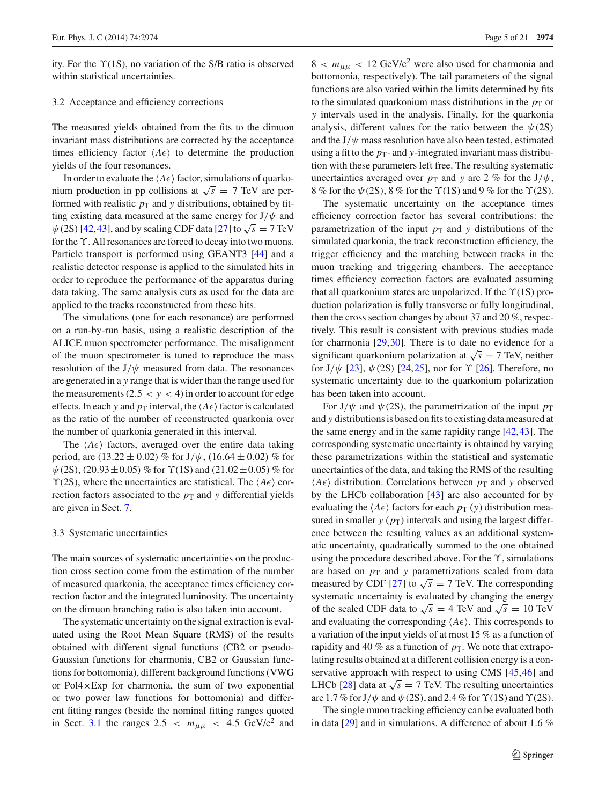ity. For the  $\Upsilon(1S)$ , no variation of the S/B ratio is observed within statistical uncertainties.

#### 3.2 Acceptance and efficiency corrections

The measured yields obtained from the fits to the dimuon invariant mass distributions are corrected by the acceptance times efficiency factor  $\langle A \epsilon \rangle$  to determine the production yields of the four resonances.

In order to evaluate the  $\langle A \epsilon \rangle$  factor, simulations of quarkonium production in pp collisions at  $\sqrt{s}$  = 7 TeV are performed with realistic  $p_T$  and *y* distributions, obtained by fitting existing data measured at the same energy for  $J/\psi$  and  $\psi$  (2S) [\[42](#page-14-26)[,43](#page-14-27)], and by scaling CDF data [\[27](#page-14-11)] to  $\sqrt{s} = 7$  TeV for the ϒ. All resonances are forced to decay into two muons. Particle transport is performed using GEANT3 [\[44\]](#page-14-28) and a realistic detector response is applied to the simulated hits in order to reproduce the performance of the apparatus during data taking. The same analysis cuts as used for the data are applied to the tracks reconstructed from these hits.

The simulations (one for each resonance) are performed on a run-by-run basis, using a realistic description of the ALICE muon spectrometer performance. The misalignment of the muon spectrometer is tuned to reproduce the mass resolution of the  $J/\psi$  measured from data. The resonances are generated in a *y* range that is wider than the range used for the measurements  $(2.5 < y < 4)$  in order to account for edge effects. In each *y* and  $p_T$  interval, the  $\langle A \epsilon \rangle$  factor is calculated as the ratio of the number of reconstructed quarkonia over the number of quarkonia generated in this interval.

The  $\langle A \epsilon \rangle$  factors, averaged over the entire data taking period, are  $(13.22 \pm 0.02)$  % for  $J/\psi$ ,  $(16.64 \pm 0.02)$  % for  $\psi$  (2S), (20.93  $\pm$  0.05) % for  $\Upsilon$  (1S) and (21.02  $\pm$  0.05) % for  $\Upsilon(2S)$ , where the uncertainties are statistical. The  $\langle A \epsilon \rangle$  correction factors associated to the  $p<sub>T</sub>$  and *y* differential yields are given in Sect. [7.](#page-11-0)

#### <span id="page-4-0"></span>3.3 Systematic uncertainties

The main sources of systematic uncertainties on the production cross section come from the estimation of the number of measured quarkonia, the acceptance times efficiency correction factor and the integrated luminosity. The uncertainty on the dimuon branching ratio is also taken into account.

The systematic uncertainty on the signal extraction is evaluated using the Root Mean Square (RMS) of the results obtained with different signal functions (CB2 or pseudo-Gaussian functions for charmonia, CB2 or Gaussian functions for bottomonia), different background functions (VWG or Pol4×Exp for charmonia, the sum of two exponential or two power law functions for bottomonia) and different fitting ranges (beside the nominal fitting ranges quoted in Sect. [3.1](#page-2-1) the ranges  $2.5 < m_{\mu\mu} < 4.5$  GeV/c<sup>2</sup> and  $8 < m_{\mu\mu} < 12$  GeV/c<sup>2</sup> were also used for charmonia and bottomonia, respectively). The tail parameters of the signal functions are also varied within the limits determined by fits to the simulated quarkonium mass distributions in the  $p<sub>T</sub>$  or *y* intervals used in the analysis. Finally, for the quarkonia analysis, different values for the ratio between the  $\psi(2S)$ and the  $J/\psi$  mass resolution have also been tested, estimated using a fit to the  $p_T$ - and *y*-integrated invariant mass distribution with these parameters left free. The resulting systematic uncertainties averaged over  $p_T$  and *y* are 2 % for the J/ $\psi$ , 8 % for the  $\psi$  (2S), 8 % for the  $\Upsilon$  (1S) and 9 % for the  $\Upsilon$  (2S).

The systematic uncertainty on the acceptance times efficiency correction factor has several contributions: the parametrization of the input  $p_T$  and *y* distributions of the simulated quarkonia, the track reconstruction efficiency, the trigger efficiency and the matching between tracks in the muon tracking and triggering chambers. The acceptance times efficiency correction factors are evaluated assuming that all quarkonium states are unpolarized. If the  $\Upsilon(1S)$  production polarization is fully transverse or fully longitudinal, then the cross section changes by about 37 and 20 %, respectively. This result is consistent with previous studies made for charmonia [\[29](#page-14-13),[30\]](#page-14-14). There is to date no evidence for a significant quarkonium polarization at  $\sqrt{s} = 7$  TeV, neither for  $J/\psi$  [\[23](#page-14-9)],  $\psi$  (2S) [\[24](#page-14-29), 25], nor for  $\Upsilon$  [\[26](#page-14-10)]. Therefore, no systematic uncertainty due to the quarkonium polarization has been taken into account.

For  $J/\psi$  and  $\psi$  (2S), the parametrization of the input  $p<sub>T</sub>$ and *y* distributions is based on fits to existing data measured at the same energy and in the same rapidity range [\[42](#page-14-26),[43\]](#page-14-27). The corresponding systematic uncertainty is obtained by varying these parametrizations within the statistical and systematic uncertainties of the data, and taking the RMS of the resulting  $\langle A \epsilon \rangle$  distribution. Correlations between  $p_T$  and *y* observed by the LHCb collaboration [\[43](#page-14-27)] are also accounted for by evaluating the  $\langle A \epsilon \rangle$  factors for each  $p_T(y)$  distribution measured in smaller  $y$  ( $p_T$ ) intervals and using the largest difference between the resulting values as an additional systematic uncertainty, quadratically summed to the one obtained using the procedure described above. For the  $\Upsilon$ , simulations are based on  $p<sub>T</sub>$  and *y* parametrizations scaled from data measured by CDF [\[27\]](#page-14-11) to  $\sqrt{s} = 7$  TeV. The corresponding systematic uncertainty is evaluated by changing the energy of the scaled CDF data to  $\sqrt{s} = 4$  TeV and  $\sqrt{s} = 10$  TeV and evaluating the corresponding  $\langle A \epsilon \rangle$ . This corresponds to a variation of the input yields of at most 15 % as a function of rapidity and 40 % as a function of  $p<sub>T</sub>$ . We note that extrapolating results obtained at a different collision energy is a conservative approach with respect to using CMS [\[45](#page-14-31)[,46](#page-14-32)] and LHCb [\[28](#page-14-12)] data at  $\sqrt{s} = 7$  TeV. The resulting uncertainties are 1.7 % for  $J/\psi$  and  $\psi$  (2S), and 2.4 % for  $\Upsilon$  (1S) and  $\Upsilon$  (2S).

The single muon tracking efficiency can be evaluated both in data [\[29\]](#page-14-13) and in simulations. A difference of about 1.6 %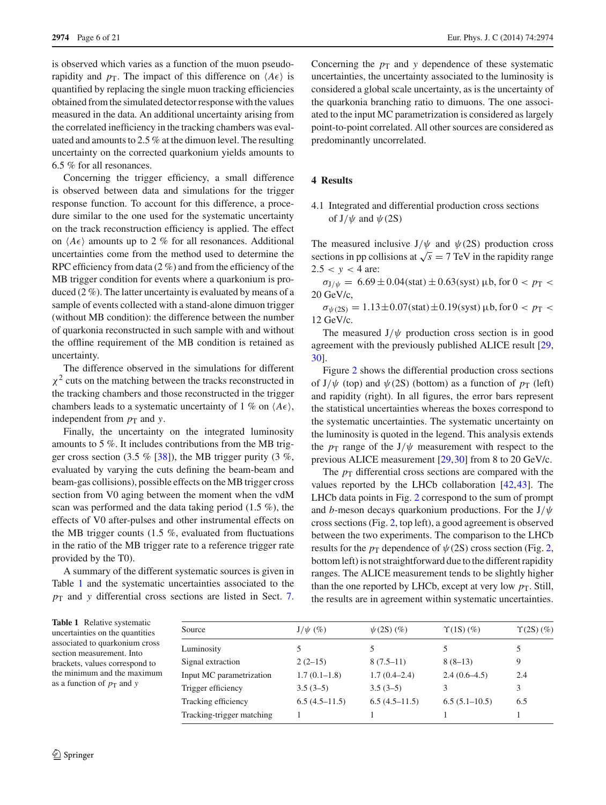is observed which varies as a function of the muon pseudorapidity and  $p<sub>T</sub>$ . The impact of this difference on  $\langle A \epsilon \rangle$  is quantified by replacing the single muon tracking efficiencies obtained from the simulated detector response with the values measured in the data. An additional uncertainty arising from the correlated inefficiency in the tracking chambers was evaluated and amounts to 2.5 % at the dimuon level. The resulting uncertainty on the corrected quarkonium yields amounts to 6.5 % for all resonances.

Concerning the trigger efficiency, a small difference is observed between data and simulations for the trigger response function. To account for this difference, a procedure similar to the one used for the systematic uncertainty on the track reconstruction efficiency is applied. The effect on  $\langle A \epsilon \rangle$  amounts up to 2 % for all resonances. Additional uncertainties come from the method used to determine the RPC efficiency from data (2 %) and from the efficiency of the MB trigger condition for events where a quarkonium is produced (2 %). The latter uncertainty is evaluated by means of a sample of events collected with a stand-alone dimuon trigger (without MB condition): the difference between the number of quarkonia reconstructed in such sample with and without the offline requirement of the MB condition is retained as uncertainty.

The difference observed in the simulations for different  $\chi^2$  cuts on the matching between the tracks reconstructed in the tracking chambers and those reconstructed in the trigger chambers leads to a systematic uncertainty of  $1\%$  on  $\langle A\epsilon \rangle$ , independent from  $p_T$  and  $y$ .

Finally, the uncertainty on the integrated luminosity amounts to 5 %. It includes contributions from the MB trigger cross section (3.5  $\%$  [\[38\]](#page-14-22)), the MB trigger purity (3  $\%$ , evaluated by varying the cuts defining the beam-beam and beam-gas collisions), possible effects on the MB trigger cross section from V0 aging between the moment when the vdM scan was performed and the data taking period (1.5 %), the effects of V0 after-pulses and other instrumental effects on the MB trigger counts (1.5 %, evaluated from fluctuations in the ratio of the MB trigger rate to a reference trigger rate provided by the T0).

A summary of the different systematic sources is given in Table [1](#page-5-1) and the systematic uncertainties associated to the *p*<sup>T</sup> and *y* differential cross sections are listed in Sect. [7.](#page-11-0) Concerning the  $p_T$  and *y* dependence of these systematic uncertainties, the uncertainty associated to the luminosity is considered a global scale uncertainty, as is the uncertainty of the quarkonia branching ratio to dimuons. The one associated to the input MC parametrization is considered as largely point-to-point correlated. All other sources are considered as predominantly uncorrelated.

## <span id="page-5-0"></span>**4 Results**

4.1 Integrated and differential production cross sections of  $J/\psi$  and  $\psi$  (2S)

The measured inclusive  $J/\psi$  and  $\psi$  (2S) production cross sections in pp collisions at  $\sqrt{s} = 7$  TeV in the rapidity range  $2.5 < v < 4$  are:

 $\sigma_{J/\psi} = 6.69 \pm 0.04$  (stat)  $\pm 0.63$  (syst)  $\mu$ b, for  $0 < p_T <$ 20 GeV/c,

 $\sigma_{\psi(2S)} = 1.13 \pm 0.07$ (stat)  $\pm 0.19$ (syst)  $\mu$ b, for  $0 < p_T <$ 12 GeV/c.

The measured  $J/\psi$  production cross section is in good agreement with the previously published ALICE result [\[29,](#page-14-13) [30](#page-14-14)].

Figure [2](#page-6-0) shows the differential production cross sections of  $J/\psi$  (top) and  $\psi$  (2S) (bottom) as a function of  $p_T$  (left) and rapidity (right). In all figures, the error bars represent the statistical uncertainties whereas the boxes correspond to the systematic uncertainties. The systematic uncertainty on the luminosity is quoted in the legend. This analysis extends the  $p_T$  range of the  $J/\psi$  measurement with respect to the previous ALICE measurement [\[29](#page-14-13),[30\]](#page-14-14) from 8 to 20 GeV/c.

The  $p_T$  differential cross sections are compared with the values reported by the LHCb collaboration [\[42](#page-14-26)[,43](#page-14-27)]. The LHCb data points in Fig. [2](#page-6-0) correspond to the sum of prompt and *b*-meson decays quarkonium productions. For the  $J/\psi$ cross sections (Fig. [2,](#page-6-0) top left), a good agreement is observed between the two experiments. The comparison to the LHCb results for the  $p_T$  dependence of  $\psi$  (2S) cross section (Fig. [2,](#page-6-0) bottom left) is not straightforward due to the different rapidity ranges. The ALICE measurement tends to be slightly higher than the one reported by LHCb, except at very low  $p<sub>T</sub>$ . Still, the results are in agreement within systematic uncertainties.

<span id="page-5-1"></span>**Table 1** Relative systematic uncertainties on the quantities associated to quarkonium cross section measurement. Into brackets, values correspond to the minimum and the maximum as a function of  $p_T$  and  $y$ 

| Source                    | $J/\psi$ (%)    | $\psi(2S)$ (%)  | $\Upsilon(1S)$ (%) | $\Upsilon(2S)$ (%) |
|---------------------------|-----------------|-----------------|--------------------|--------------------|
| Luminosity                |                 |                 |                    | 5                  |
| Signal extraction         | $2(2-15)$       | $8(7.5-11)$     | $8(8-13)$          | 9                  |
| Input MC parametrization  | $1.7(0.1-1.8)$  | $1.7(0.4-2.4)$  | $2.4(0.6-4.5)$     | 2.4                |
| Trigger efficiency        | $3.5(3-5)$      | $3.5(3-5)$      |                    | 3                  |
| Tracking efficiency       | $6.5(4.5-11.5)$ | $6.5(4.5-11.5)$ | $6.5(5.1-10.5)$    | 6.5                |
| Tracking-trigger matching |                 |                 |                    |                    |
|                           |                 |                 |                    |                    |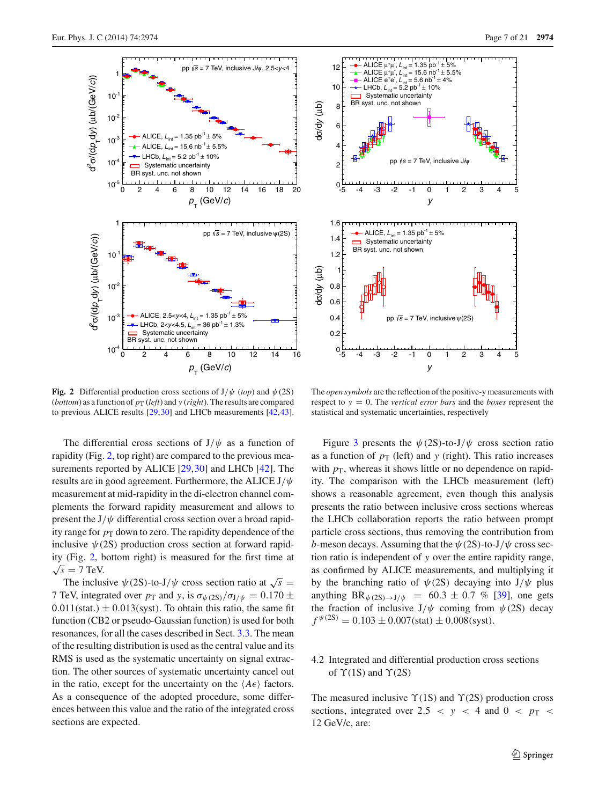



<span id="page-6-0"></span>**Fig. 2** Differential production cross sections of  $J/\psi$  (*top*) and  $\psi$  (2S) (*bottom*) as a function of  $p_T$  (*left*) and *y* (*right*). The results are compared to previous ALICE results [\[29](#page-14-13)[,30\]](#page-14-14) and LHCb measurements [\[42](#page-14-26)[,43](#page-14-27)].

The differential cross sections of  $J/\psi$  as a function of rapidity (Fig. [2,](#page-6-0) top right) are compared to the previous mea-surements reported by ALICE [\[29](#page-14-13)[,30](#page-14-14)] and LHCb [\[42](#page-14-26)]. The results are in good agreement. Furthermore, the ALICE  $J/\psi$ measurement at mid-rapidity in the di-electron channel complements the forward rapidity measurement and allows to present the  $J/\psi$  differential cross section over a broad rapidity range for  $p<sub>T</sub>$  down to zero. The rapidity dependence of the inclusive  $\psi$  (2S) production cross section at forward rapidity (Fig. [2,](#page-6-0) bottom right) is measured for the first time at  $\sqrt{s}$  = 7 TeV.

The inclusive  $\psi$ (2S)-to-J/ $\psi$  cross section ratio at  $\sqrt{s}$  = 7 TeV, integrated over  $p_T$  and *y*, is  $\sigma_{\psi(2S)}/\sigma_{J/\psi} = 0.170 \pm$  $0.011$ (stat.)  $\pm 0.013$ (syst). To obtain this ratio, the same fit function (CB2 or pseudo-Gaussian function) is used for both resonances, for all the cases described in Sect. [3.3.](#page-4-0) The mean of the resulting distribution is used as the central value and its RMS is used as the systematic uncertainty on signal extraction. The other sources of systematic uncertainty cancel out in the ratio, except for the uncertainty on the  $\langle A \epsilon \rangle$  factors. As a consequence of the adopted procedure, some differences between this value and the ratio of the integrated cross sections are expected.

The *open symbols* are the reflection of the positive-y measurements with respect to  $y = 0$ . The *vertical error bars* and the *boxes* represent the statistical and systematic uncertainties, respectively

Figure [3](#page-7-1) presents the  $\psi$ (2S)-to-J/ $\psi$  cross section ratio as a function of  $p_T$  (left) and *y* (right). This ratio increases with  $p<sub>T</sub>$ , whereas it shows little or no dependence on rapidity. The comparison with the LHCb measurement (left) shows a reasonable agreement, even though this analysis presents the ratio between inclusive cross sections whereas the LHCb collaboration reports the ratio between prompt particle cross sections, thus removing the contribution from *b*-meson decays. Assuming that the  $\psi$  (2S)-to-J/ $\psi$  cross section ratio is independent of *y* over the entire rapidity range, as confirmed by ALICE measurements, and multiplying it by the branching ratio of  $\psi$ (2S) decaying into J/ $\psi$  plus anything  $BR_{\psi(2S) \to J/\psi} = 60.3 \pm 0.7 \%$  [\[39](#page-14-23)], one gets the fraction of inclusive  $J/\psi$  coming from  $\psi$  (2S) decay  $f^{\psi(2S)} = 0.103 \pm 0.007$ (stat)  $\pm 0.008$ (syst).

# 4.2 Integrated and differential production cross sections of  $\Upsilon(1S)$  and  $\Upsilon(2S)$

The measured inclusive  $\Upsilon(1S)$  and  $\Upsilon(2S)$  production cross sections, integrated over 2.5  $\lt$  *y*  $\lt$  4 and 0  $\lt$  *p*<sub>T</sub>  $\lt$ 12 GeV/c, are: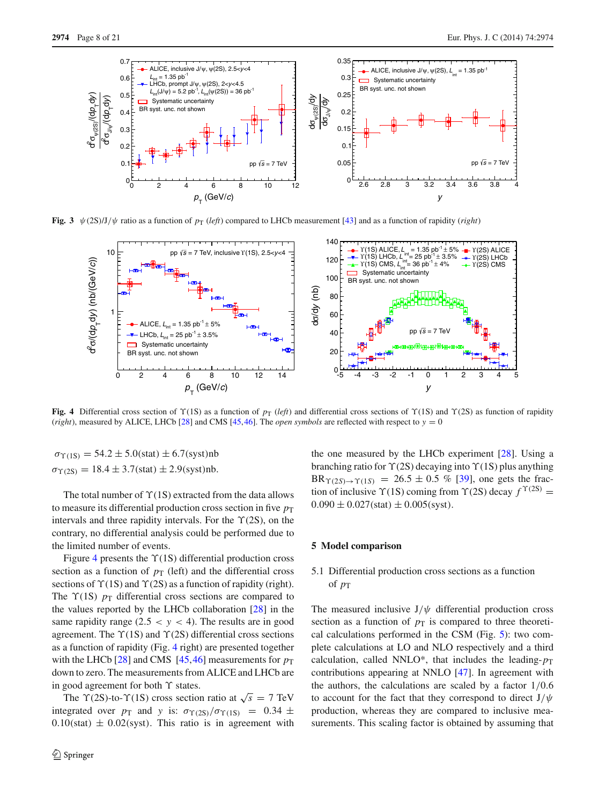

**Fig. 3**  $\psi$ (2S)/J/ $\psi$  ratio as a function of  $p_T$  (*left*) compared to LHCb measurement [\[43\]](#page-14-27) and as a function of rapidity (*right*)

<span id="page-7-1"></span>

<span id="page-7-2"></span>**Fig. 4** Differential cross section of  $\Upsilon(1S)$  as a function of  $p_T$  (*left*) and differential cross sections of  $\Upsilon(1S)$  and  $\Upsilon(2S)$  as function of rapidity (*right*), measured by ALICE, LHCb [\[28\]](#page-14-12) and CMS [\[45](#page-14-31)[,46](#page-14-32)]. The *open symbols* are reflected with respect to  $y = 0$ 

 $\sigma_{\Upsilon(1S)} = 54.2 \pm 5.0$ (stat)  $\pm 6.7$ (syst)nb  $\sigma_{\Upsilon(2S)} = 18.4 \pm 3.7({\rm stat}) \pm 2.9({\rm syst})$ nb.

The total number of  $\Upsilon(1S)$  extracted from the data allows to measure its differential production cross section in five  $p<sub>T</sub>$ intervals and three rapidity intervals. For the  $\Upsilon(2S)$ , on the contrary, no differential analysis could be performed due to the limited number of events.

Figure [4](#page-7-2) presents the  $\Upsilon(1S)$  differential production cross section as a function of  $p_T$  (left) and the differential cross sections of  $\Upsilon(1S)$  and  $\Upsilon(2S)$  as a function of rapidity (right). The  $\Upsilon(1S)$   $p_T$  differential cross sections are compared to the values reported by the LHCb collaboration [\[28\]](#page-14-12) in the same rapidity range  $(2.5 < y < 4)$ . The results are in good agreement. The  $\Upsilon(1S)$  and  $\Upsilon(2S)$  differential cross sections as a function of rapidity (Fig. [4](#page-7-2) right) are presented together with the LHCb  $[28]$  and CMS  $[45, 46]$  $[45, 46]$  measurements for  $p_T$ down to zero. The measurements from ALICE and LHCb are in good agreement for both  $\Upsilon$  states.

The  $\Upsilon(2S)$ -to- $\Upsilon(1S)$  cross section ratio at  $\sqrt{s} = 7$  TeV integrated over  $p_T$  and *y* is:  $\sigma_{\Upsilon(2S)}/\sigma_{\Upsilon(1S)} = 0.34 \pm 1$  $0.10(stat) \pm 0.02(syst)$ . This ratio is in agreement with the one measured by the LHCb experiment [\[28\]](#page-14-12). Using a branching ratio for  $\Upsilon(2S)$  decaying into  $\Upsilon(1S)$  plus anything  $BR_{\Upsilon(2S) \to \Upsilon(1S)} = 26.5 \pm 0.5$  % [\[39](#page-14-23)], one gets the fraction of inclusive  $\Upsilon(1S)$  coming from  $\Upsilon(2S)$  decay  $f^{\Upsilon(2S)}$  =  $0.090 \pm 0.027$ (stat)  $\pm 0.005$ (syst).

#### <span id="page-7-0"></span>**5 Model comparison**

# 5.1 Differential production cross sections as a function of  $p_T$

The measured inclusive  $J/\psi$  differential production cross section as a function of  $p<sub>T</sub>$  is compared to three theoretical calculations performed in the CSM (Fig. [5\)](#page-8-0): two complete calculations at LO and NLO respectively and a third calculation, called NNLO\*, that includes the leading- $p<sub>T</sub>$ contributions appearing at NNLO [\[47](#page-14-33)]. In agreement with the authors, the calculations are scaled by a factor 1/0.6 to account for the fact that they correspond to direct  $J/\psi$ production, whereas they are compared to inclusive measurements. This scaling factor is obtained by assuming that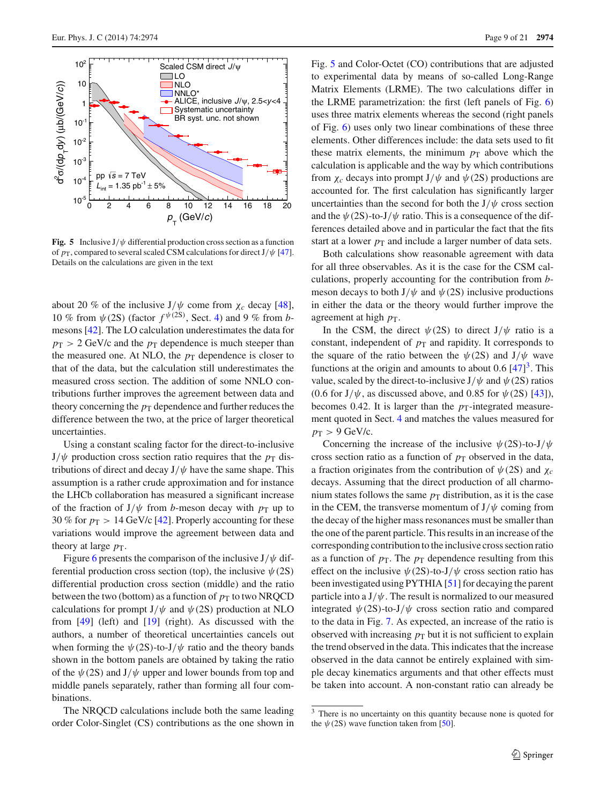

<span id="page-8-0"></span>**Fig. 5** Inclusive  $J/\psi$  differential production cross section as a function of  $p_T$ , compared to several scaled CSM calculations for direct  $J/\psi$  [\[47](#page-14-33)]. Details on the calculations are given in the text

about 20 % of the inclusive  $J/\psi$  come from  $\chi_c$  decay [\[48](#page-14-34)], 10 % from  $\psi$  (2S) (factor  $f^{\psi$  (2S), Sect. [4\)](#page-5-0) and 9 % from *b*mesons [\[42](#page-14-26)]. The LO calculation underestimates the data for  $p_T > 2$  GeV/c and the  $p_T$  dependence is much steeper than the measured one. At NLO, the  $p_T$  dependence is closer to that of the data, but the calculation still underestimates the measured cross section. The addition of some NNLO contributions further improves the agreement between data and theory concerning the  $p<sub>T</sub>$  dependence and further reduces the difference between the two, at the price of larger theoretical uncertainties.

Using a constant scaling factor for the direct-to-inclusive  $J/\psi$  production cross section ratio requires that the  $p_T$  distributions of direct and decay  $J/\psi$  have the same shape. This assumption is a rather crude approximation and for instance the LHCb collaboration has measured a significant increase of the fraction of  $J/\psi$  from *b*-meson decay with  $p_T$  up to 30 % for  $p_T > 14$  GeV/c [\[42](#page-14-26)]. Properly accounting for these variations would improve the agreement between data and theory at large  $p_T$ .

Figure [6](#page-9-0) presents the comparison of the inclusive  $J/\psi$  differential production cross section (top), the inclusive  $\psi(2S)$ differential production cross section (middle) and the ratio between the two (bottom) as a function of  $p<sub>T</sub>$  to two NRQCD calculations for prompt  $J/\psi$  and  $\psi$  (2S) production at NLO from  $[49]$  (left) and  $[19]$  $[19]$  (right). As discussed with the authors, a number of theoretical uncertainties cancels out when forming the  $\psi$ (2S)-to-J/ $\psi$  ratio and the theory bands shown in the bottom panels are obtained by taking the ratio of the  $\psi$ (2S) and J/ $\psi$  upper and lower bounds from top and middle panels separately, rather than forming all four combinations.

The NRQCD calculations include both the same leading order Color-Singlet (CS) contributions as the one shown in Fig. [5](#page-8-0) and Color-Octet (CO) contributions that are adjusted to experimental data by means of so-called Long-Range Matrix Elements (LRME). The two calculations differ in the LRME parametrization: the first (left panels of Fig. [6\)](#page-9-0) uses three matrix elements whereas the second (right panels of Fig. [6\)](#page-9-0) uses only two linear combinations of these three elements. Other differences include: the data sets used to fit these matrix elements, the minimum  $p<sub>T</sub>$  above which the calculation is applicable and the way by which contributions from  $\chi_c$  decays into prompt  $J/\psi$  and  $\psi$  (2S) productions are accounted for. The first calculation has significantly larger uncertainties than the second for both the  $J/\psi$  cross section and the  $\psi$ (2S)-to-J/ $\psi$  ratio. This is a consequence of the differences detailed above and in particular the fact that the fits start at a lower  $p<sub>T</sub>$  and include a larger number of data sets.

Both calculations show reasonable agreement with data for all three observables. As it is the case for the CSM calculations, properly accounting for the contribution from *b*meson decays to both  $J/\psi$  and  $\psi$  (2S) inclusive productions in either the data or the theory would further improve the agreement at high  $p_T$ .

In the CSM, the direct  $\psi(2S)$  to direct  $J/\psi$  ratio is a constant, independent of  $p<sub>T</sub>$  and rapidity. It corresponds to the square of the ratio between the  $\psi(2S)$  and  $J/\psi$  wave functions at the origin and amounts to about  $0.6 \, [47]^3$  $0.6 \, [47]^3$  $0.6 \, [47]^3$  $0.6 \, [47]^3$ . This value, scaled by the direct-to-inclusive  $J/\psi$  and  $\psi$  (2S) ratios (0.6 for  $J/\psi$ , as discussed above, and 0.85 for  $\psi$  (2S) [\[43](#page-14-27)]), becomes 0.42. It is larger than the  $p_T$ -integrated measurement quoted in Sect. [4](#page-5-0) and matches the values measured for  $p_T > 9$  GeV/c.

Concerning the increase of the inclusive  $\psi$  (2S)-to-J/ $\psi$ cross section ratio as a function of  $p<sub>T</sub>$  observed in the data, a fraction originates from the contribution of  $\psi$  (2S) and  $\chi_c$ decays. Assuming that the direct production of all charmonium states follows the same  $p<sub>T</sub>$  distribution, as it is the case in the CEM, the transverse momentum of  $J/\psi$  coming from the decay of the higher mass resonances must be smaller than the one of the parent particle. This results in an increase of the corresponding contribution to the inclusive cross section ratio as a function of  $p<sub>T</sub>$ . The  $p<sub>T</sub>$  dependence resulting from this effect on the inclusive  $\psi$ (2S)-to-J/ $\psi$  cross section ratio has been investigated using PYTHIA [\[51](#page-14-36)] for decaying the parent particle into a  $J/\psi$ . The result is normalized to our measured integrated  $\psi$ (2S)-to-J/ $\psi$  cross section ratio and compared to the data in Fig. [7.](#page-10-0) As expected, an increase of the ratio is observed with increasing  $p<sub>T</sub>$  but it is not sufficient to explain the trend observed in the data. This indicates that the increase observed in the data cannot be entirely explained with simple decay kinematics arguments and that other effects must be taken into account. A non-constant ratio can already be

<span id="page-8-1"></span><sup>&</sup>lt;sup>3</sup> There is no uncertainty on this quantity because none is quoted for the  $\psi$ (2S) wave function taken from [\[50\]](#page-14-37).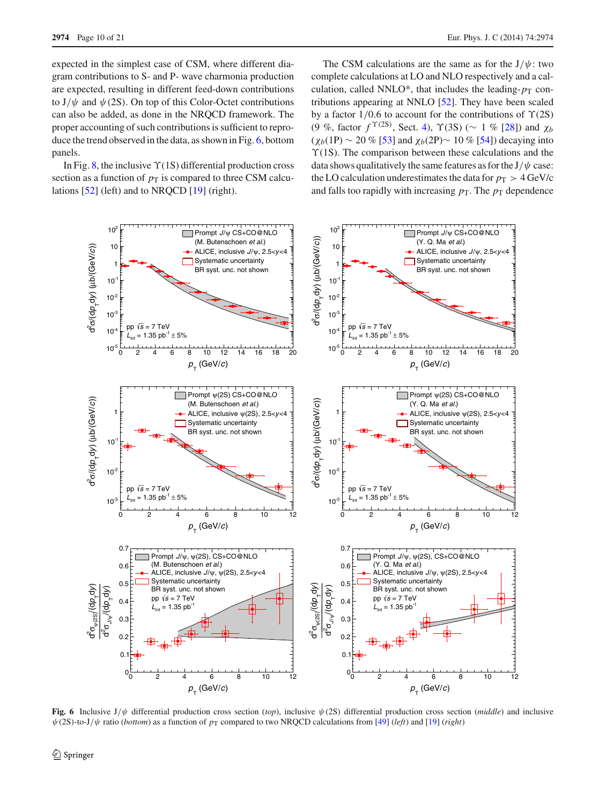expected in the simplest case of CSM, where different diagram contributions to S- and P- wave charmonia production are expected, resulting in different feed-down contributions to  $J/\psi$  and  $\psi$  (2S). On top of this Color-Octet contributions can also be added, as done in the NRQCD framework. The proper accounting of such contributions is sufficient to reproduce the trend observed in the data, as shown in Fig. [6,](#page-9-0) bottom panels.

In Fig. [8,](#page-10-1) the inclusive  $\Upsilon(1S)$  differential production cross section as a function of  $p<sub>T</sub>$  is compared to three CSM calculations [\[52](#page-14-38)] (left) and to NRQCD [\[19](#page-14-6)] (right).

The CSM calculations are the same as for the  $J/\psi$ : two complete calculations at LO and NLO respectively and a calculation, called NNLO<sup>\*</sup>, that includes the leading- $p_T$  contributions appearing at NNLO [\[52\]](#page-14-38). They have been scaled by a factor  $1/0.6$  to account for the contributions of  $\Upsilon(2S)$ (9 %, factor *f* ϒ(2S) , Sect. [4\)](#page-5-0), ϒ(3S) (∼ 1%[\[28](#page-14-12)]) and χ*<sup>b</sup>* (χ*b*(1P) ∼ 20 % [\[53\]](#page-14-39) and χ*b*(2P)∼ 10 % [\[54\]](#page-14-40)) decaying into  $\Upsilon(1S)$ . The comparison between these calculations and the data shows qualitatively the same features as for the  $J/\psi$  case: the LO calculation underestimates the data for  $p_T > 4$  GeV/c and falls too rapidly with increasing  $p<sub>T</sub>$ . The  $p<sub>T</sub>$  dependence



<span id="page-9-0"></span>**Fig. 6** Inclusive J/ψ differential production cross section (*top*), inclusive ψ(2S) differential production cross section (*middle*) and inclusive  $\psi$ (2S)-to-J/ $\psi$  ratio (*bottom*) as a function of  $p_T$  compared to two NRQCD calculations from [\[49](#page-14-35)] (*left*) and [\[19\]](#page-14-6) (*right*)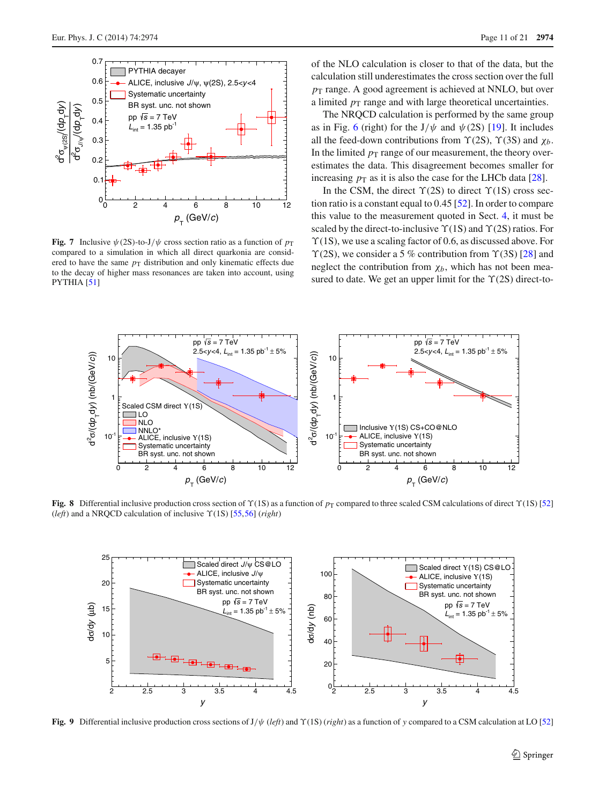

<span id="page-10-0"></span>**Fig. 7** Inclusive  $\psi$  (2S)-to-J/ $\psi$  cross section ratio as a function of  $p_T$ compared to a simulation in which all direct quarkonia are considered to have the same  $p<sub>T</sub>$  distribution and only kinematic effects due to the decay of higher mass resonances are taken into account, using PYTHIA [\[51](#page-14-36)]

of the NLO calculation is closer to that of the data, but the calculation still underestimates the cross section over the full  $p_T$  range. A good agreement is achieved at NNLO, but over a limited  $p<sub>T</sub>$  range and with large theoretical uncertainties.

The NRQCD calculation is performed by the same group as in Fig. [6](#page-9-0) (right) for the  $J/\psi$  and  $\psi$  (2S) [\[19](#page-14-6)]. It includes all the feed-down contributions from  $\Upsilon(2S)$ ,  $\Upsilon(3S)$  and  $\chi_b$ . In the limited  $p<sub>T</sub>$  range of our measurement, the theory overestimates the data. This disagreement becomes smaller for increasing  $p<sub>T</sub>$  as it is also the case for the LHCb data [\[28\]](#page-14-12).

In the CSM, the direct  $\Upsilon(2S)$  to direct  $\Upsilon(1S)$  cross section ratio is a constant equal to 0.45 [\[52\]](#page-14-38). In order to compare this value to the measurement quoted in Sect. [4,](#page-5-0) it must be scaled by the direct-to-inclusive  $\Upsilon(1S)$  and  $\Upsilon(2S)$  ratios. For  $\Upsilon(1S)$ , we use a scaling factor of 0.6, as discussed above. For  $\Upsilon(2S)$ , we consider a 5 % contribution from  $\Upsilon(3S)$  [\[28](#page-14-12)] and neglect the contribution from  $\chi_b$ , which has not been measured to date. We get an upper limit for the  $\Upsilon(2S)$  direct-to-



<span id="page-10-1"></span>**Fig. 8** Differential inclusive production cross section of  $\Upsilon(1S)$  as a function of  $p_T$  compared to three scaled CSM calculations of direct  $\Upsilon(1S)$  [\[52](#page-14-38)] (*left*) and a NRQCD calculation of inclusive ϒ(1S) [\[55,](#page-14-41)[56](#page-14-42)] (*right*)



<span id="page-10-2"></span>**Fig. 9** Differential inclusive production cross sections of J/ψ (*left*) and ϒ(1S) (*right*) as a function of *y* compared to a CSM calculation at LO [\[52](#page-14-38)]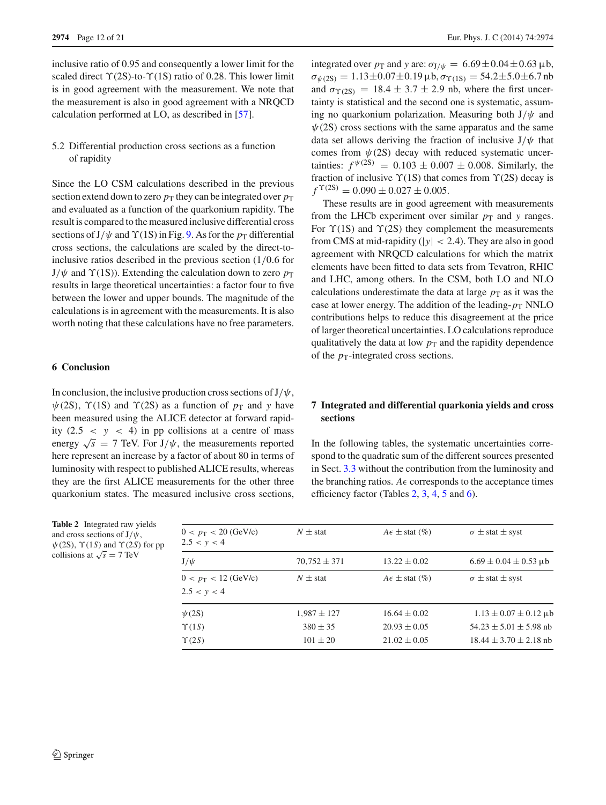inclusive ratio of 0.95 and consequently a lower limit for the scaled direct  $\Upsilon(2S)$ -to- $\Upsilon(1S)$  ratio of 0.28. This lower limit is in good agreement with the measurement. We note that the measurement is also in good agreement with a NRQCD calculation performed at LO, as described in [\[57](#page-14-43)].

# 5.2 Differential production cross sections as a function of rapidity

Since the LO CSM calculations described in the previous section extend down to zero  $p<sub>T</sub>$  they can be integrated over  $p<sub>T</sub>$ and evaluated as a function of the quarkonium rapidity. The result is compared to the measured inclusive differential cross sections of  $J/\psi$  and  $\Upsilon(1S)$  in Fig. [9.](#page-10-2) As for the  $p_T$  differential cross sections, the calculations are scaled by the direct-toinclusive ratios described in the previous section (1/0.6 for  $J/\psi$  and  $\Upsilon(1S)$ ). Extending the calculation down to zero  $p_T$ results in large theoretical uncertainties: a factor four to five between the lower and upper bounds. The magnitude of the calculations is in agreement with the measurements. It is also worth noting that these calculations have no free parameters.

# **6 Conclusion**

<span id="page-11-1"></span>**Table 2** Integrated raw and cross sections of  $J/$  $\psi$ (2S),  $\Upsilon$ (1*S*) and  $\Upsilon$ (2 collisions at  $\sqrt{s} = 7$  Te

In conclusion, the inclusive production cross sections of  $J/\psi$ ,  $\psi$ (2S),  $\Upsilon$ (1S) and  $\Upsilon$ (2S) as a function of  $p_T$  and *y* have been measured using the ALICE detector at forward rapidity  $(2.5 \lt y \lt 4)$  in pp collisions at a centre of mass energy  $\sqrt{s}$  = 7 TeV. For J/ $\psi$ , the measurements reported here represent an increase by a factor of about 80 in terms of luminosity with respect to published ALICE results, whereas they are the first ALICE measurements for the other three quarkonium states. The measured inclusive cross sections,

integrated over  $p_T$  and *y* are:  $\sigma_{J/\psi} = 6.69 \pm 0.04 \pm 0.63 \,\mu b$ ,  $\sigma_{\psi(2S)} = 1.13 \pm 0.07 \pm 0.19 \,\mu b, \sigma_{\Upsilon(1S)} = 54.2 \pm 5.0 \pm 6.7 \,\text{nb}$ and  $\sigma_{\Upsilon(2S)} = 18.4 \pm 3.7 \pm 2.9$  nb, where the first uncertainty is statistical and the second one is systematic, assuming no quarkonium polarization. Measuring both  $J/\psi$  and  $\psi$ (2S) cross sections with the same apparatus and the same data set allows deriving the fraction of inclusive  $J/\psi$  that comes from  $\psi$ (2S) decay with reduced systematic uncertainties:  $f^{\psi(2S)} = 0.103 \pm 0.007 \pm 0.008$ . Similarly, the fraction of inclusive  $\Upsilon(1S)$  that comes from  $\Upsilon(2S)$  decay is  $f^{\Upsilon(2S)} = 0.090 \pm 0.027 \pm 0.005.$ 

These results are in good agreement with measurements from the LHCb experiment over similar  $p<sub>T</sub>$  and *y* ranges. For  $\Upsilon(1S)$  and  $\Upsilon(2S)$  they complement the measurements from CMS at mid-rapidity ( $|y| < 2.4$ ). They are also in good agreement with NRQCD calculations for which the matrix elements have been fitted to data sets from Tevatron, RHIC and LHC, among others. In the CSM, both LO and NLO calculations underestimate the data at large  $p<sub>T</sub>$  as it was the case at lower energy. The addition of the leading- $p<sub>T</sub>$  NNLO contributions helps to reduce this disagreement at the price of larger theoretical uncertainties. LO calculations reproduce qualitatively the data at low  $p<sub>T</sub>$  and the rapidity dependence of the  $p_T$ -integrated cross sections.

# <span id="page-11-0"></span>**7 Integrated and differential quarkonia yields and cross sections**

In the following tables, the systematic uncertainties correspond to the quadratic sum of the different sources presented in Sect. [3.3](#page-4-0) without the contribution from the luminosity and the branching ratios.  $A \epsilon$  corresponds to the acceptance times efficiency factor (Tables [2,](#page-11-1) [3,](#page-12-0) [4,](#page-12-1) [5](#page-13-9) and [6\)](#page-13-10).

| $0 < p_{\rm T} < 20$ (GeV/c)<br>2.5 < y < 4 | $N \pm$ stat     | $A\epsilon \pm$ stat $(\% )$ | $\sigma \pm$ stat $\pm$ syst     |
|---------------------------------------------|------------------|------------------------------|----------------------------------|
| $J/\psi$                                    | $70,752 \pm 371$ | $13.22 \pm 0.02$             | $6.69 \pm 0.04 \pm 0.53 \,\mu b$ |
| $0 < p_{\rm T} < 12$ (GeV/c)                | $N \pm$ stat     | $A\epsilon \pm$ stat $(\% )$ | $\sigma \pm$ stat $\pm$ syst     |
| 2.5 < y < 4                                 |                  |                              |                                  |
| $\psi(2S)$                                  | $1,987 \pm 127$  | $16.64 \pm 0.02$             | $1.13 \pm 0.07 \pm 0.12 \,\mu b$ |
| $\Upsilon(1S)$                              | $380 \pm 35$     | $20.93 \pm 0.05$             | $54.23 \pm 5.01 \pm 5.98$ nb     |
| $\Upsilon(2S)$                              | $101 \pm 20$     | $21.02 \pm 0.05$             | $18.44 \pm 3.70 \pm 2.18$ nb     |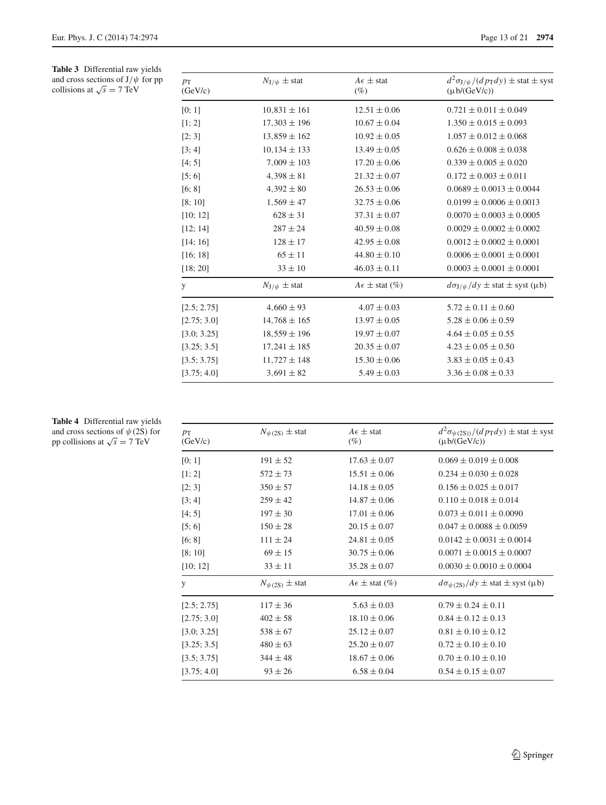<span id="page-12-0"></span>

| Table 3 Differential raw yields       |
|---------------------------------------|
| and cross sections of $J/\psi$ for pp |
| collisions at $\sqrt{s} = 7$ TeV      |

| $p_{\rm T}$<br>(GeV/c) | $N_{J/\psi}$ ± stat | $A\epsilon \pm$ stat<br>$(\%)$ | $d^2\sigma_{J/\psi}/(dp_{\rm T}dy) \pm$ stat $\pm$ syst<br>$(\mu b/(GeV/c))$ |
|------------------------|---------------------|--------------------------------|------------------------------------------------------------------------------|
| [0; 1]                 | $10,831 \pm 161$    | $12.51 \pm 0.06$               | $0.721 \pm 0.011 \pm 0.049$                                                  |
| [1; 2]                 | $17,303 \pm 196$    | $10.67 \pm 0.04$               | $1.350 \pm 0.015 \pm 0.093$                                                  |
| [2; 3]                 | $13,859 \pm 162$    | $10.92 \pm 0.05$               | $1.057 \pm 0.012 \pm 0.068$                                                  |
| [3; 4]                 | $10,134 \pm 133$    | $13.49 \pm 0.05$               | $0.626 \pm 0.008 \pm 0.038$                                                  |
| [4; 5]                 | $7,009 \pm 103$     | $17.20 \pm 0.06$               | $0.339 \pm 0.005 \pm 0.020$                                                  |
| [5; 6]                 | $4,398 \pm 81$      | $21.32 \pm 0.07$               | $0.172 \pm 0.003 \pm 0.011$                                                  |
| [6; 8]                 | $4,392 \pm 80$      | $26.53 \pm 0.06$               | $0.0689 \pm 0.0013 \pm 0.0044$                                               |
| [8; 10]                | $1,569 \pm 47$      | $32.75 \pm 0.06$               | $0.0199 \pm 0.0006 \pm 0.0013$                                               |
| [10; 12]               | $628 \pm 31$        | $37.31 \pm 0.07$               | $0.0070 \pm 0.0003 \pm 0.0005$                                               |
| [12; 14]               | $287 \pm 24$        | $40.59 \pm 0.08$               | $0.0029 \pm 0.0002 \pm 0.0002$                                               |
| [14; 16]               | $128 \pm 17$        | $42.95 \pm 0.08$               | $0.0012 \pm 0.0002 \pm 0.0001$                                               |
| [16; 18]               | $65 \pm 11$         | $44.80 \pm 0.10$               | $0.0006 \pm 0.0001 \pm 0.0001$                                               |
| [18; 20]               | $33 \pm 10$         | $46.03 \pm 0.11$               | $0.0003 \pm 0.0001 \pm 0.0001$                                               |
| y                      | $N_{J/\psi}$ ± stat | $A\epsilon \pm$ stat $(\%)$    | $d\sigma_{J/\psi}/dy \pm$ stat $\pm$ syst (µb)                               |
| [2.5; 2.75]            | $4,660 \pm 93$      | $4.07 \pm 0.03$                | $5.72 \pm 0.11 \pm 0.60$                                                     |
| [2.75; 3.0]            | $14,768 \pm 165$    | $13.97 \pm 0.05$               | $5.28 \pm 0.06 \pm 0.59$                                                     |
| [3.0; 3.25]            | $18,559 \pm 196$    | $19.97 \pm 0.07$               | $4.64 \pm 0.05 \pm 0.55$                                                     |
| [3.25; 3.5]            | $17,241 \pm 185$    | $20.35 \pm 0.07$               | $4.23 \pm 0.05 \pm 0.50$                                                     |
| [3.5; 3.75]            | $11,727 \pm 148$    | $15.30 \pm 0.06$               | $3.83 \pm 0.05 \pm 0.43$                                                     |
| [3.75; 4.0]            | $3,691 \pm 82$      | $5.49 \pm 0.03$                | $3.36 \pm 0.08 \pm 0.33$                                                     |
|                        |                     |                                |                                                                              |

<span id="page-12-1"></span>

| Table 4 Differential raw yields       |
|---------------------------------------|
| and cross sections of $\psi$ (2S) for |
| pp collisions at $\sqrt{s} = 7$ TeV   |

J.

| $p_{\rm T}$<br>(GeV/c) | $N_{\psi(2S)} \pm$ stat | $A\epsilon \pm$ stat<br>$(\%)$ | $d^2\sigma_{\psi(2S)}$ / $(d\,p_{\rm T}dy) \pm$ stat $\pm$ syst<br>$(\mu b/(GeV/c))$ |
|------------------------|-------------------------|--------------------------------|--------------------------------------------------------------------------------------|
| [0; 1]                 | $191 \pm 52$            | $17.63 \pm 0.07$               | $0.069 \pm 0.019 \pm 0.008$                                                          |
| [1; 2]                 | $572 \pm 73$            | $15.51 \pm 0.06$               | $0.234 \pm 0.030 \pm 0.028$                                                          |
| [2; 3]                 | $350 \pm 57$            | $14.18 \pm 0.05$               | $0.156 \pm 0.025 \pm 0.017$                                                          |
| [3; 4]                 | $259 \pm 42$            | $14.87 \pm 0.06$               | $0.110 \pm 0.018 \pm 0.014$                                                          |
| [4; 5]                 | $197 \pm 30$            | $17.01 \pm 0.06$               | $0.073 \pm 0.011 \pm 0.0090$                                                         |
| [5; 6]                 | $150 \pm 28$            | $20.15 \pm 0.07$               | $0.047 \pm 0.0088 \pm 0.0059$                                                        |
| [6; 8]                 | $111 \pm 24$            | $24.81 \pm 0.05$               | $0.0142 \pm 0.0031 \pm 0.0014$                                                       |
| [8; 10]                | $69 \pm 15$             | $30.75 \pm 0.06$               | $0.0071 \pm 0.0015 \pm 0.0007$                                                       |
| [10; 12]               | $33 \pm 11$             | $35.28 \pm 0.07$               | $0.0030 \pm 0.0010 \pm 0.0004$                                                       |
| У                      | $N_{\psi(2S)} \pm$ stat | $A\epsilon \pm$ stat $(\%)$    | $d\sigma_{\psi(2S)}/dy \pm$ stat $\pm$ syst (µb)                                     |
| [2.5; 2.75]            | $117 \pm 36$            | $5.63 \pm 0.03$                | $0.79 \pm 0.24 \pm 0.11$                                                             |
| [2.75; 3.0]            | $402 \pm 58$            | $18.10 \pm 0.06$               | $0.84 \pm 0.12 \pm 0.13$                                                             |
| [3.0; 3.25]            | $538 \pm 67$            | $25.12 \pm 0.07$               | $0.81 \pm 0.10 \pm 0.12$                                                             |
| [3.25; 3.5]            | $480 \pm 63$            | $25.20 \pm 0.07$               | $0.72 \pm 0.10 \pm 0.10$                                                             |
| [3.5; 3.75]            | $344 \pm 48$            | $18.67 \pm 0.06$               | $0.70 \pm 0.10 \pm 0.10$                                                             |
| [3.75; 4.0]            | $93 \pm 26$             | $6.58 \pm 0.04$                | $0.54 \pm 0.15 \pm 0.07$                                                             |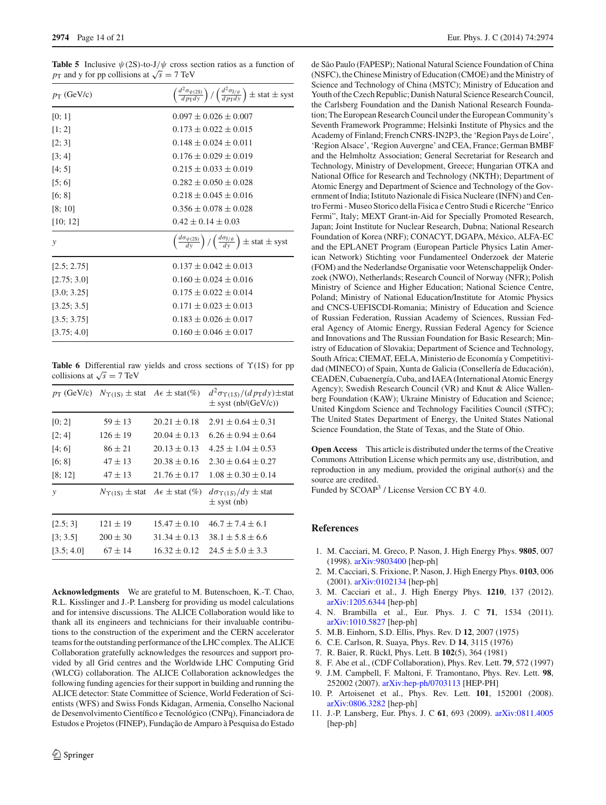<span id="page-13-9"></span>

| <b>Table 5</b> Inclusive $\psi(2S)$ -to-J/ $\psi$ cross section ratios as a function of |
|-----------------------------------------------------------------------------------------|
| $p_T$ and y for pp collisions at $\sqrt{s} = 7$ TeV                                     |

| $p_T$ (GeV/c) | $\left(\frac{d^2\sigma_{\psi(2S)}}{dp_Tdy}\right)/\left(\frac{d^2\sigma_{J/\psi}}{dp_Tdy}\right) \pm \text{stat} \pm \text{syst}$ |
|---------------|-----------------------------------------------------------------------------------------------------------------------------------|
| [0; 1]        | $0.097 \pm 0.026 \pm 0.007$                                                                                                       |
| [1; 2]        | $0.173 \pm 0.022 \pm 0.015$                                                                                                       |
| [2; 3]        | $0.148 \pm 0.024 \pm 0.011$                                                                                                       |
| [3; 4]        | $0.176 \pm 0.029 \pm 0.019$                                                                                                       |
| [4; 5]        | $0.215 \pm 0.033 \pm 0.019$                                                                                                       |
| [5; 6]        | $0.282 \pm 0.050 \pm 0.028$                                                                                                       |
| [6; 8]        | $0.218 \pm 0.045 \pm 0.016$                                                                                                       |
| [8; 10]       | $0.356 \pm 0.078 \pm 0.028$                                                                                                       |
| [10; 12]      | $0.42 + 0.14 + 0.03$                                                                                                              |
| у             | $\left(\frac{d\sigma_{\psi(2S)}}{dy}\right)/\left(\frac{d\sigma_{J/\psi}}{dy}\right) \pm \text{stat} \pm \text{syst}$             |
| [2.5; 2.75]   | $0.137 \pm 0.042 \pm 0.013$                                                                                                       |
| [2.75; 3.0]   | $0.160 \pm 0.024 \pm 0.016$                                                                                                       |
| [3.0; 3.25]   | $0.175 \pm 0.022 \pm 0.014$                                                                                                       |
| [3.25; 3.5]   | $0.171 \pm 0.023 \pm 0.013$                                                                                                       |
| [3.5; 3.75]   | $0.183 \pm 0.026 \pm 0.017$                                                                                                       |
| [3.75; 4.0]   | $0.160 + 0.046 + 0.017$                                                                                                           |

<span id="page-13-10"></span>Table 6 Differential raw yields and cross sections of  $\Upsilon$ (1S) for pp collisions at  $\sqrt{s}$  = 7 TeV

|            | $p_{\rm T}$ (GeV/c) $N_{\Upsilon(1S)} \pm$ stat $A \in \pm$ stat(%) |                                                                | $d^2\sigma_{\Upsilon(1S)}/(dp_{\Upsilon}dy) \pm$ stat<br>$\pm$ syst (nb/(GeV/c)) |
|------------|---------------------------------------------------------------------|----------------------------------------------------------------|----------------------------------------------------------------------------------|
| [0; 2]     | $59 \pm 13$                                                         | $20.21 \pm 0.18$                                               | $2.91 \pm 0.64 \pm 0.31$                                                         |
| [2; 4]     | $126 \pm 19$                                                        | $20.04 \pm 0.13$                                               | $6.26 \pm 0.94 \pm 0.64$                                                         |
| [4; 6]     | $86 \pm 21$                                                         | $20.13 \pm 0.13$                                               | $4.25 \pm 1.04 \pm 0.53$                                                         |
| [6; 8]     | $47 \pm 13$                                                         | $20.38 \pm 0.16$                                               | $2.30 \pm 0.64 \pm 0.27$                                                         |
| [8; 12]    | $47 \pm 13$                                                         | $21.76 \pm 0.17$                                               | $1.08 \pm 0.30 \pm 0.14$                                                         |
| у          |                                                                     | $N_{\Upsilon(1S)} \pm \text{stat}$ $A \in \pm \text{stat}$ (%) | $d\sigma_{\Upsilon(1S)}/dy \pm \text{stat}$<br>$\pm$ syst (nb)                   |
| [2.5; 3]   | $121 \pm 19$                                                        | $15.47 \pm 0.10$                                               | $46.7 \pm 7.4 \pm 6.1$                                                           |
| [3:3.5]    | $200 \pm 30$                                                        | $31.34 \pm 0.13$                                               | $38.1 \pm 5.8 \pm 6.6$                                                           |
| [3.5; 4.0] | $67 \pm 14$                                                         | $16.32 \pm 0.12$                                               | $24.5 \pm 5.0 \pm 3.3$                                                           |

**Acknowledgments** We are grateful to M. Butenschoen, K.-T. Chao, R.L. Kisslinger and J.-P. Lansberg for providing us model calculations and for intensive discussions. The ALICE Collaboration would like to thank all its engineers and technicians for their invaluable contributions to the construction of the experiment and the CERN accelerator teams for the outstanding performance of the LHC complex. The ALICE Collaboration gratefully acknowledges the resources and support provided by all Grid centres and the Worldwide LHC Computing Grid (WLCG) collaboration. The ALICE Collaboration acknowledges the following funding agencies for their support in building and running the ALICE detector: State Committee of Science, World Federation of Scientists (WFS) and Swiss Fonds Kidagan, Armenia, Conselho Nacional de Desenvolvimento Científico e Tecnológico (CNPq), Financiadora de Estudos e Projetos (FINEP), Fundação de Amparo à Pesquisa do Estado

de São Paulo (FAPESP); National Natural Science Foundation of China (NSFC), the ChineseMinistry of Education (CMOE) and theMinistry of Science and Technology of China (MSTC); Ministry of Education and Youth of the Czech Republic; Danish Natural Science Research Council, the Carlsberg Foundation and the Danish National Research Foundation; The European Research Council under the European Community's Seventh Framework Programme; Helsinki Institute of Physics and the Academy of Finland; French CNRS-IN2P3, the 'Region Pays de Loire', 'Region Alsace', 'Region Auvergne' and CEA, France; German BMBF and the Helmholtz Association; General Secretariat for Research and Technology, Ministry of Development, Greece; Hungarian OTKA and National Office for Research and Technology (NKTH); Department of Atomic Energy and Department of Science and Technology of the Government of India; Istituto Nazionale di Fisica Nucleare (INFN) and Centro Fermi - Museo Storico della Fisica e Centro Studi e Ricerche "Enrico Fermi", Italy; MEXT Grant-in-Aid for Specially Promoted Research, Japan; Joint Institute for Nuclear Research, Dubna; National Research Foundation of Korea (NRF); CONACYT, DGAPA, México, ALFA-EC and the EPLANET Program (European Particle Physics Latin American Network) Stichting voor Fundamenteel Onderzoek der Materie (FOM) and the Nederlandse Organisatie voor Wetenschappelijk Onderzoek (NWO), Netherlands; Research Council of Norway (NFR); Polish Ministry of Science and Higher Education; National Science Centre, Poland; Ministry of National Education/Institute for Atomic Physics and CNCS-UEFISCDI-Romania; Ministry of Education and Science of Russian Federation, Russian Academy of Sciences, Russian Federal Agency of Atomic Energy, Russian Federal Agency for Science and Innovations and The Russian Foundation for Basic Research; Ministry of Education of Slovakia; Department of Science and Technology, South Africa; CIEMAT, EELA, Ministerio de Economía y Competitividad (MINECO) of Spain, Xunta de Galicia (Consellería de Educación), CEADEN, Cubaenergía, Cuba, and IAEA (International Atomic Energy Agency); Swedish Research Council (VR) and Knut & Alice Wallenberg Foundation (KAW); Ukraine Ministry of Education and Science; United Kingdom Science and Technology Facilities Council (STFC); The United States Department of Energy, the United States National Science Foundation, the State of Texas, and the State of Ohio.

**Open Access** This article is distributed under the terms of the Creative Commons Attribution License which permits any use, distribution, and reproduction in any medium, provided the original author(s) and the source are credited.

Funded by SCOAP<sup>3</sup> / License Version CC BY 4.0.

#### **References**

- <span id="page-13-0"></span>1. M. Cacciari, M. Greco, P. Nason, J. High Energy Phys. **9805**, 007 (1998). [arXiv:9803400](http://arxiv.org/abs/9803400) [hep-ph]
- 2. M. Cacciari, S. Frixione, P. Nason, J. High Energy Phys. **0103**, 006 (2001). [arXiv:0102134](http://arxiv.org/abs/0102134) [hep-ph]
- <span id="page-13-1"></span>3. M. Cacciari et al., J. High Energy Phys. **1210**, 137 (2012). [arXiv:1205.6344](http://arxiv.org/abs/1205.6344) [hep-ph]
- <span id="page-13-2"></span>4. N. Brambilla et al., Eur. Phys. J. C **71**, 1534 (2011). [arXiv:1010.5827](http://arxiv.org/abs/1010.5827) [hep-ph]
- <span id="page-13-3"></span>5. M.B. Einhorn, S.D. Ellis, Phys. Rev. D **12**, 2007 (1975)
- 6. C.E. Carlson, R. Suaya, Phys. Rev. D **14**, 3115 (1976)
- <span id="page-13-4"></span>7. R. Baier, R. Rückl, Phys. Lett. B **102**(5), 364 (1981)
- <span id="page-13-5"></span>8. F. Abe et al., (CDF Collaboration), Phys. Rev. Lett. **79**, 572 (1997)
- <span id="page-13-6"></span>9. J.M. Campbell, F. Maltoni, F. Tramontano, Phys. Rev. Lett. **98**, 252002 (2007). [arXiv:hep-ph/0703113](http://arxiv.org/abs/hep-ph/0703113) [HEP-PH]
- <span id="page-13-7"></span>10. P. Artoisenet et al., Phys. Rev. Lett. **101**, 152001 (2008). [arXiv:0806.3282](http://arxiv.org/abs/0806.3282) [hep-ph]
- <span id="page-13-8"></span>11. J.-P. Lansberg, Eur. Phys. J. C **61**, 693 (2009). [arXiv:0811.4005](http://arxiv.org/abs/0811.4005) [hep-ph]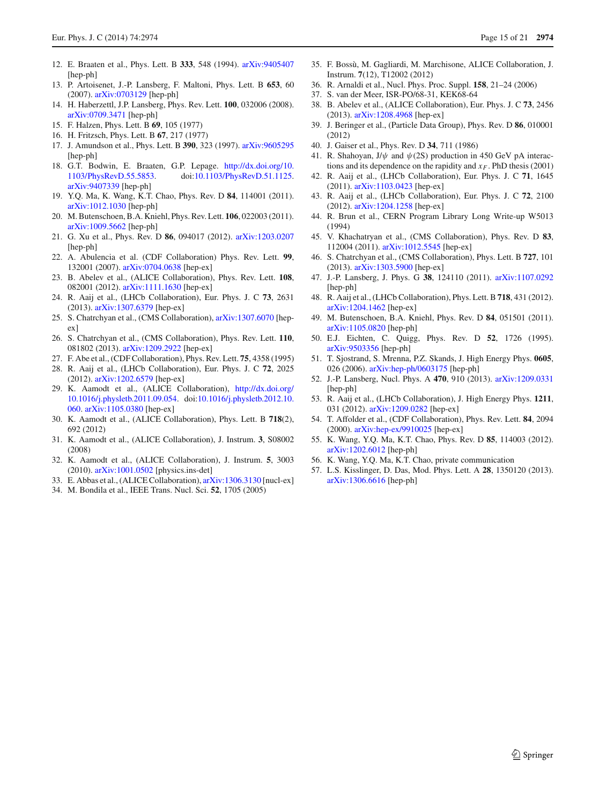- <span id="page-14-0"></span>12. E. Braaten et al., Phys. Lett. B **333**, 548 (1994). [arXiv:9405407](http://arxiv.org/abs/9405407) [hen-ph]
- <span id="page-14-1"></span>13. P. Artoisenet, J.-P. Lansberg, F. Maltoni, Phys. Lett. B **653**, 60 (2007). [arXiv:0703129](http://arxiv.org/abs/0703129) [hep-ph]
- <span id="page-14-2"></span>14. H. Haberzettl, J.P. Lansberg, Phys. Rev. Lett. **100**, 032006 (2008). [arXiv:0709.3471](http://arxiv.org/abs/0709.3471) [hep-ph]
- <span id="page-14-3"></span>15. F. Halzen, Phys. Lett. B **69**, 105 (1977)
- 16. H. Fritzsch, Phys. Lett. B **67**, 217 (1977)
- <span id="page-14-4"></span>17. J. Amundson et al., Phys. Lett. B **390**, 323 (1997). [arXiv:9605295](http://arxiv.org/abs/9605295) [hep-ph]
- <span id="page-14-5"></span>18. G.T. Bodwin, E. Braaten, G.P. Lepage. [http://dx.doi.org/10.](http://dx.doi.org/10.1103/PhysRevD.55.5853) [1103/PhysRevD.55.5853.](http://dx.doi.org/10.1103/PhysRevD.55.5853) doi[:10.1103/PhysRevD.51.1125.](http://dx.doi.org/10.1103/PhysRevD.51.1125) [arXiv:9407339](http://arxiv.org/abs/9407339) [hep-ph]
- <span id="page-14-6"></span>19. Y.Q. Ma, K. Wang, K.T. Chao, Phys. Rev. D **84**, 114001 (2011). [arXiv:1012.1030](http://arxiv.org/abs/1012.1030) [hep-ph]
- 20. M. Butenschoen, B.A. Kniehl, Phys. Rev. Lett. **106**, 022003 (2011). [arXiv:1009.5662](http://arxiv.org/abs/1009.5662) [hep-ph]
- <span id="page-14-7"></span>21. G. Xu et al., Phys. Rev. D **86**, 094017 (2012). [arXiv:1203.0207](http://arxiv.org/abs/1203.0207) [hep-ph]
- <span id="page-14-8"></span>22. A. Abulencia et al. (CDF Collaboration) Phys. Rev. Lett. **99**, 132001 (2007). [arXiv:0704.0638](http://arxiv.org/abs/0704.0638) [hep-ex]
- <span id="page-14-9"></span>23. B. Abelev et al., (ALICE Collaboration), Phys. Rev. Lett. **108**, 082001 (2012). [arXiv:1111.1630](http://arxiv.org/abs/1111.1630) [hep-ex]
- <span id="page-14-29"></span>24. R. Aaij et al., (LHCb Collaboration), Eur. Phys. J. C **73**, 2631 (2013). [arXiv:1307.6379](http://arxiv.org/abs/1307.6379) [hep-ex]
- <span id="page-14-30"></span>25. S. Chatrchyan et al., (CMS Collaboration), [arXiv:1307.6070](http://arxiv.org/abs/1307.6070) [hepex]
- <span id="page-14-10"></span>26. S. Chatrchyan et al., (CMS Collaboration), Phys. Rev. Lett. **110**, 081802 (2013). [arXiv:1209.2922](http://arxiv.org/abs/1209.2922) [hep-ex]
- <span id="page-14-11"></span>27. F. Abe et al., (CDF Collaboration), Phys. Rev. Lett. **75**, 4358 (1995)
- <span id="page-14-12"></span>28. R. Aaij et al., (LHCb Collaboration), Eur. Phys. J. C **72**, 2025 (2012). [arXiv:1202.6579](http://arxiv.org/abs/1202.6579) [hep-ex]
- <span id="page-14-13"></span>29. K. Aamodt et al., (ALICE Collaboration), [http://dx.doi.org/](http://dx.doi.org/10.1016/j.physletb.2011.09.054) [10.1016/j.physletb.2011.09.054.](http://dx.doi.org/10.1016/j.physletb.2011.09.054) doi[:10.1016/j.physletb.2012.10.](http://dx.doi.org/10.1016/j.physletb.2012.10.060) [060.](http://dx.doi.org/10.1016/j.physletb.2012.10.060) [arXiv:1105.0380](http://arxiv.org/abs/1105.0380) [hep-ex]
- <span id="page-14-14"></span>30. K. Aamodt et al., (ALICE Collaboration), Phys. Lett. B **718**(2), 692 (2012)
- <span id="page-14-15"></span>31. K. Aamodt et al., (ALICE Collaboration), J. Instrum. **3**, S08002 (2008)
- <span id="page-14-16"></span>32. K. Aamodt et al., (ALICE Collaboration), J. Instrum. **5**, 3003 (2010). [arXiv:1001.0502](http://arxiv.org/abs/1001.0502) [physics.ins-det]
- <span id="page-14-17"></span>33. E. Abbas et al., (ALICE Collaboration), [arXiv:1306.3130](http://arxiv.org/abs/1306.3130) [nucl-ex]
- <span id="page-14-18"></span>34. M. Bondila et al., IEEE Trans. Nucl. Sci. **52**, 1705 (2005)
- <span id="page-14-19"></span>35. F. Bossù, M. Gagliardi, M. Marchisone, ALICE Collaboration, J. Instrum. **7**(12), T12002 (2012)
- <span id="page-14-20"></span>36. R. Arnaldi et al., Nucl. Phys. Proc. Suppl. **158**, 21–24 (2006)
- <span id="page-14-21"></span>37. S. van der Meer, ISR-PO/68-31, KEK68-64 38. B. Abelev et al., (ALICE Collaboration), Eur. Phys. J. C **73**, 2456
- <span id="page-14-22"></span>(2013). [arXiv:1208.4968](http://arxiv.org/abs/1208.4968) [hep-ex]
- <span id="page-14-23"></span>39. J. Beringer et al., (Particle Data Group), Phys. Rev. D **86**, 010001 (2012)
- <span id="page-14-24"></span>40. J. Gaiser et al., Phys. Rev. D **34**, 711 (1986)
- <span id="page-14-25"></span>41. R. Shahoyan, J/ $\psi$  and  $\psi$ (2S) production in 450 GeV pA interactions and its dependence on the rapidity and  $x_F$ . PhD thesis (2001)
- <span id="page-14-26"></span>42. R. Aaij et al., (LHCb Collaboration), Eur. Phys. J. C **71**, 1645 (2011). [arXiv:1103.0423](http://arxiv.org/abs/1103.0423) [hep-ex]
- <span id="page-14-27"></span>43. R. Aaij et al., (LHCb Collaboration), Eur. Phys. J. C **72**, 2100 (2012). [arXiv:1204.1258](http://arxiv.org/abs/1204.1258) [hep-ex]
- <span id="page-14-28"></span>44. R. Brun et al., CERN Program Library Long Write-up W5013 (1994)
- <span id="page-14-31"></span>45. V. Khachatryan et al., (CMS Collaboration), Phys. Rev. D **83**, 112004 (2011). [arXiv:1012.5545](http://arxiv.org/abs/1012.5545) [hep-ex]
- <span id="page-14-32"></span>46. S. Chatrchyan et al., (CMS Collaboration), Phys. Lett. B **727**, 101 (2013). [arXiv:1303.5900](http://arxiv.org/abs/1303.5900) [hep-ex]
- <span id="page-14-33"></span>47. J.-P. Lansberg, J. Phys. G **38**, 124110 (2011). [arXiv:1107.0292](http://arxiv.org/abs/1107.0292) [hep-ph]
- <span id="page-14-34"></span>48. R. Aaij et al., (LHCb Collaboration), Phys. Lett. B **718**, 431 (2012). [arXiv:1204.1462](http://arxiv.org/abs/1204.1462) [hep-ex]
- <span id="page-14-35"></span>49. M. Butenschoen, B.A. Kniehl, Phys. Rev. D **84**, 051501 (2011). [arXiv:1105.0820](http://arxiv.org/abs/1105.0820) [hep-ph]
- <span id="page-14-37"></span>50. E.J. Eichten, C. Quigg, Phys. Rev. D **52**, 1726 (1995). [arXiv:9503356](http://arxiv.org/abs/9503356) [hep-ph]
- <span id="page-14-36"></span>51. T. Sjostrand, S. Mrenna, P.Z. Skands, J. High Energy Phys. **0605**, 026 (2006). [arXiv:hep-ph/0603175](http://arxiv.org/abs/hep-ph/0603175) [hep-ph]
- <span id="page-14-38"></span>52. J.-P. Lansberg, Nucl. Phys. A **470**, 910 (2013). [arXiv:1209.0331](http://arxiv.org/abs/1209.0331) [hep-ph]
- <span id="page-14-39"></span>53. R. Aaij et al., (LHCb Collaboration), J. High Energy Phys. **1211**, 031 (2012). [arXiv:1209.0282](http://arxiv.org/abs/1209.0282) [hep-ex]
- <span id="page-14-40"></span>54. T. Affolder et al., (CDF Collaboration), Phys. Rev. Lett. **84**, 2094 (2000). [arXiv:hep-ex/9910025](http://arxiv.org/abs/hep-ex/9910025) [hep-ex]
- <span id="page-14-41"></span>55. K. Wang, Y.Q. Ma, K.T. Chao, Phys. Rev. D **85**, 114003 (2012). [arXiv:1202.6012](http://arxiv.org/abs/1202.6012) [hep-ph]
- <span id="page-14-42"></span>56. K. Wang, Y.Q. Ma, K.T. Chao, private communication
- <span id="page-14-43"></span>57. L.S. Kisslinger, D. Das, Mod. Phys. Lett. A **28**, 1350120 (2013). [arXiv:1306.6616](http://arxiv.org/abs/1306.6616) [hep-ph]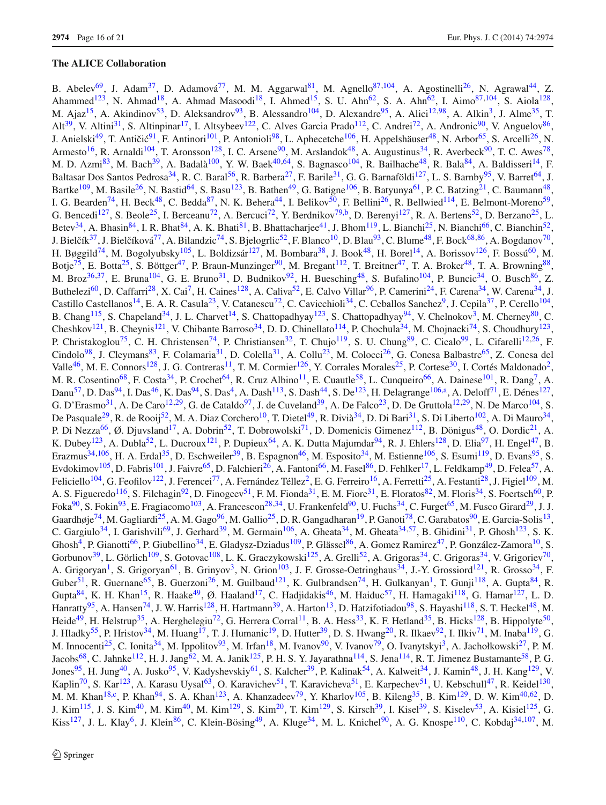## **The ALICE Collaboration**

B. Abelev<sup>69</sup>, J. Adam<sup>37</sup>, D. Adamová<sup>77</sup>, M. M. Aggarwal<sup>81</sup>, M. Agnello<sup>87,104</sup>, A. Agostinelli<sup>26</sup>, N. Agrawal<sup>44</sup>, Z. Ahammed<sup>123</sup>, N. Ahmad<sup>18</sup>, A. Ahmad Masoodi<sup>18</sup>, I. Ahmed<sup>15</sup>, S. U. Ahn<sup>62</sup>, S. A. Ahn<sup>62</sup>, I. Aimo<sup>87,104</sup>, S. Aiola<sup>128</sup>, M. Ajaz<sup>15</sup>, A. Akindinov<sup>53</sup>, D. Aleksandrov<sup>93</sup>, B. Alessandro<sup>104</sup>, D. Alexandre<sup>95</sup>, A. Alici<sup>12,98</sup>, A. Alkin<sup>3</sup>, J. Alme<sup>35</sup>, T. Alt<sup>39</sup>, V. Altini<sup>31</sup>, S. Altinpinar<sup>17</sup>, I. Altsybeev<sup>122</sup>, C. Alves Garcia Prado<sup>112</sup>, C. Andrei<sup>72</sup>, A. Andronic<sup>90</sup>, V. Anguelov<sup>86</sup>, J. Anielski<sup>49</sup>, T. Antičić<sup>91</sup>, F. Antinori<sup>101</sup>, P. Antonioli<sup>98</sup>, L. Aphecetche<sup>106</sup>, H. Appelshäuser<sup>48</sup>, N. Arbor<sup>65</sup>, S. Arcelli<sup>26</sup>, N. Armesto<sup>16</sup>, R. Arnaldi<sup>104</sup>, T. Aronsson<sup>128</sup>, I. C. Arsene<sup>90</sup>, M. Arslandok<sup>48</sup>, A. Augustinus<sup>34</sup>, R. Averbeck<sup>90</sup>, T. C. Awes<sup>78</sup>, M. D. Azmi<sup>83</sup>, M. Bach<sup>39</sup>, A. Badalà<sup>100</sup>, Y. W. Baek<sup>40,64</sup>, S. Bagnasco<sup>104</sup>, R. Bailhache<sup>48</sup>, R. Bala<sup>84</sup>, A. Baldisseri<sup>14</sup>, F. Baltasar Dos Santos Pedrosa<sup>34</sup>, R. C. Baral<sup>56</sup>, R. Barbera<sup>27</sup>, F. Barile<sup>31</sup>, G. G. Barnaföldi<sup>127</sup>, L. S. Barnby<sup>95</sup>, V. Barret<sup>64</sup>, J. Bartke<sup>109</sup>, M. Basile<sup>26</sup>, N. Bastid<sup>64</sup>, S. Basu<sup>123</sup>, B. Bathen<sup>49</sup>, G. Batigne<sup>106</sup>, B. Batyunya<sup>61</sup>, P. C. Batzing<sup>21</sup>, C. Baumann<sup>48</sup>, I. G. Bearden<sup>74</sup>, H. Beck<sup>48</sup>, C. Bedda<sup>87</sup>, N. K. Behera<sup>44</sup>, I. Belikov<sup>50</sup>, F. Bellini<sup>26</sup>, R. Bellwied<sup>114</sup>, E. Belmont-Moreno<sup>59</sup>, G. Bencedi<sup>127</sup>, S. Beole<sup>25</sup>, I. Berceanu<sup>72</sup>, A. Bercuci<sup>72</sup>, Y. Berdnikov<sup>79,b</sup>, D. Berenyi<sup>127</sup>, R. A. Bertens<sup>52</sup>, D. Berzano<sup>25</sup>, L. Betev<sup>34</sup>, A. Bhasin<sup>84</sup>, I. R. Bhat<sup>84</sup>, A. K. Bhati<sup>81</sup>, B. Bhattacharjee<sup>41</sup>, J. Bhom<sup>119</sup>, L. Bianchi<sup>25</sup>, N. Bianchi<sup>66</sup>, C. Bianchin<sup>52</sup>, J. Bielčík<sup>37</sup>, J. Bielčíková<sup>77</sup>, A. Bilandzic<sup>74</sup>, S. Bjelogrlic<sup>52</sup>, F. Blanco<sup>10</sup>, D. Blau<sup>93</sup>, C. Blume<sup>48</sup>, F. Bock<sup>68,86</sup>, A. Bogdanov<sup>70</sup>, H. Bøggild<sup>74</sup>, M. Bogolyubsky<sup>105</sup>, L. Boldizsár<sup>127</sup>, M. Bombara<sup>38</sup>, J. Book<sup>48</sup>, H. Borel<sup>14</sup>, A. Borissov<sup>126</sup>, F. Bossú<sup>60</sup>, M. Botje<sup>75</sup>, E. Botta<sup>25</sup>, S. Böttger<sup>47</sup>, P. Braun-Munzinger<sup>90</sup>, M. Bregant<sup>112</sup>, T. Breitner<sup>47</sup>, T. A. Broker<sup>48</sup>, T. A. Browning<sup>88</sup>, M. Broz<sup>36,37</sup>, E. Bruna<sup>104</sup>, G. E. Bruno<sup>31</sup>, D. Budnikov<sup>92</sup>, H. Buesching<sup>48</sup>, S. Bufalino<sup>104</sup>, P. Buncic<sup>34</sup>, O. Busch<sup>86</sup>, Z. Buthelezi<sup>60</sup>, D. Caffarri<sup>28</sup>, X. Cai<sup>7</sup>, H. Caines<sup>128</sup>, A. Caliva<sup>52</sup>, E. Calvo Villar<sup>96</sup>, P. Camerini<sup>24</sup>, F. Carena<sup>34</sup>, W. Carena<sup>34</sup>, J. Castillo Castellanos<sup>14</sup>, E. A. R. Casula<sup>23</sup>, V. Catanescu<sup>72</sup>, C. Cavicchioli<sup>34</sup>, C. Ceballos Sanchez<sup>9</sup>, J. Cepila<sup>37</sup>, P. Cerello<sup>104</sup>, B. Chang<sup>115</sup>, S. Chapeland<sup>34</sup>, J. L. Charvet<sup>14</sup>, S. Chattopadhyay<sup>123</sup>, S. Chattopadhyay<sup>94</sup>, V. Chelnokov<sup>3</sup>, M. Cherney<sup>80</sup>, C. Cheshkov<sup>121</sup>, B. Cheynis<sup>121</sup>, V. Chibante Barroso<sup>34</sup>, D. D. Chinellato<sup>114</sup>, P. Chochula<sup>34</sup>, M. Chojnacki<sup>74</sup>, S. Choudhury<sup>123</sup>, P. Christakoglou<sup>75</sup>, C. H. Christensen<sup>74</sup>, P. Christiansen<sup>32</sup>, T. Chujo<sup>119</sup>, S. U. Chung<sup>89</sup>, C. Cicalo<sup>99</sup>, L. Cifarelli<sup>12,26</sup>, F. Cindolo<sup>98</sup>, J. Cleymans<sup>83</sup>, F. Colamaria<sup>31</sup>, D. Colella<sup>31</sup>, A. Collu<sup>23</sup>, M. Colocci<sup>26</sup>, G. Conesa Balbastre<sup>65</sup>, Z. Conesa del Valle<sup>46</sup>, M. E. Connors<sup>128</sup>, J. G. Contreras<sup>11</sup>, T. M. Cormier<sup>126</sup>, Y. Corrales Morales<sup>25</sup>, P. Cortese<sup>30</sup>, I. Cortés Maldonado<sup>2</sup>, M. R. Cosentino<sup>68</sup>, F. Costa<sup>34</sup>, P. Crochet<sup>64</sup>, R. Cruz Albino<sup>11</sup>, E. Cuautle<sup>58</sup>, L. Cunqueiro<sup>66</sup>, A. Dainese<sup>101</sup>, R. Dang<sup>7</sup>, A. Danu<sup>57</sup>, D. Das<sup>94</sup>, I. Das<sup>46</sup>, K. Das<sup>94</sup>, S. Das<sup>4</sup>, A. Dash<sup>113</sup>, S. Dash<sup>44</sup>, S. De<sup>123</sup>, H. Delagrange<sup>106,a</sup>, A. Deloff<sup>71</sup>, E. Dénes<sup>127</sup>, G. D'Erasmo<sup>31</sup>, A. De Caro<sup>12,29</sup>, G. de Cataldo<sup>97</sup>, J. de Cuveland<sup>39</sup>, A. De Falco<sup>23</sup>, D. De Gruttola<sup>12,29</sup>, N. De Marco<sup>104</sup>, S. De Pasquale<sup>29</sup>, R. de Rooij<sup>52</sup>, M. A. Diaz Corchero<sup>10</sup>, T. Dietel<sup>49</sup>, R. Divià<sup>34</sup>, D. Di Bari<sup>31</sup>, S. Di Liberto<sup>102</sup>, A. Di Mauro<sup>34</sup>, P. Di Nezza<sup>66</sup>, Ø. Djuvsland<sup>17</sup>, A. Dobrin<sup>52</sup>, T. Dobrowolski<sup>71</sup>, D. Domenicis Gimenez<sup>112</sup>, B. Dönigus<sup>48</sup>, O. Dordic<sup>21</sup>, A. K. Dubey<sup>123</sup>, A. Dubla<sup>52</sup>, L. Ducroux<sup>121</sup>, P. Dupieux<sup>64</sup>, A. K. Dutta Majumdar<sup>94</sup>, R. J. Ehlers<sup>128</sup>, D. Elia<sup>97</sup>, H. Engel<sup>47</sup>, B. Erazmus<sup>[34](#page-17-10),106</sup>, H. A. Erdal<sup>35</sup>, D. Eschweiler<sup>39</sup>, B. Espagnon<sup>46</sup>, M. Esposito<sup>34</sup>, M. Estienne<sup>106</sup>, S. Esumi<sup>119</sup>, D. Evans<sup>95</sup>, S. Evdokimov<sup>105</sup>, D. Fabris<sup>101</sup>, J. Faivre<sup>65</sup>, D. Falchieri<sup>26</sup>, A. Fantoni<sup>66</sup>, M. Fasel<sup>86</sup>, D. Fehlker<sup>17</sup>, L. Feldkamp<sup>49</sup>, D. Felea<sup>57</sup>, A. Feliciello<sup>104</sup>, G. Feofilov<sup>122</sup>, J. Ferencei<sup>77</sup>, A. Fernández Téllez<sup>2</sup>, E. G. Ferreiro<sup>16</sup>, A. Ferretti<sup>25</sup>, A. Festanti<sup>28</sup>, J. Figiel<sup>109</sup>, M. A. S. Figueredo<sup>116</sup>, S. Filchagin<sup>92</sup>, D. Finogeev<sup>51</sup>, F. M. Fionda<sup>31</sup>, E. M. Fiore<sup>31</sup>, E. Floratos<sup>82</sup>, M. Floris<sup>34</sup>, S. Foertsch<sup>60</sup>, P. Foka $^{90}$ , S. Fokin $^{93}$ , E. Fragiacomo<sup>103</sup>, A. Francescon<sup>28,34</sup>, U. Frankenfeld<sup>90</sup>, U. Fuchs<sup>34</sup>, C. Furget<sup>65</sup>, M. Fusco Girard<sup>29</sup>, J. J. Gaardhøje<sup>74</sup>, M. Gagliardi<sup>25</sup>, A. M. Gago<sup>96</sup>, M. Gallio<sup>25</sup>, D. R. Gangadharan<sup>19</sup>, P. Ganoti<sup>78</sup>, C. Garabatos<sup>90</sup>, E. Garcia-Solis<sup>13</sup>, C. Gargiulo<sup>34</sup>, I. Garishvili<sup>69</sup>, J. Gerhard<sup>39</sup>, M. Germain<sup>106</sup>, A. Gheata<sup>34</sup>, M. Gheata<sup>34,57</sup>, B. Ghidini<sup>31</sup>, P. Ghosh<sup>123</sup>, S. K. Ghosh<sup>4</sup>, P. Gianotti<sup>66</sup>, P. Giubellino<sup>34</sup>, E. Gladysz-Dziadus<sup>109</sup>, P. Glässel<sup>86</sup>, A. Gomez Ramirez<sup>47</sup>, P. González-Zamora<sup>10</sup>, S. Gorbunov<sup>39</sup>, L. Görlich<sup>109</sup>, S. Gotovac<sup>108</sup>, L. K. Graczykowski<sup>125</sup>, A. Grelli<sup>52</sup>, A. Grigoras<sup>34</sup>, C. Grigoras<sup>34</sup>, V. Grigoriev<sup>70</sup>, A. Grigoryan<sup>1</sup>, S. Grigoryan<sup>61</sup>, B. Grinyov<sup>3</sup>, N. Grion<sup>103</sup>, J. F. Grosse-Oetringhaus<sup>34</sup>, J.-Y. Grossiord<sup>121</sup>, R. Grosso<sup>34</sup>, F. Guber<sup>[51](#page-18-37)</sup>, R. Guernane<sup>65</sup>, B. Guerzoni<sup>26</sup>, M. Guilbaud<sup>121</sup>, K. Gulbrandsen<sup>74</sup>, H. Gulkanyan<sup>1</sup>, T. Gunji<sup>118</sup>, A. Gupta<sup>84</sup>, R. Gupta<sup>84</sup>, K. H. Khan<sup>15</sup>, R. Haake<sup>49</sup>, Ø. Haaland<sup>17</sup>, C. Hadjidakis<sup>46</sup>, M. Haiduc<sup>57</sup>, H. Hamagaki<sup>118</sup>, G. Hamar<sup>127</sup>, L. D. Hanratty<sup>95</sup>, A. Hansen<sup>74</sup>, J. W. Harris<sup>128</sup>, H. Hartmann<sup>39</sup>, A. Harton<sup>13</sup>, D. Hatzifotiadou<sup>98</sup>, S. Hayashi<sup>118</sup>, S. T. Heckel<sup>48</sup>, M. Heide<sup>49</sup>, H. Helstrup<sup>35</sup>, A. Herghelegiu<sup>72</sup>, G. Herrera Corral<sup>11</sup>, B. A. Hess<sup>33</sup>, K. F. Hetland<sup>35</sup>, B. Hicks<sup>128</sup>, B. Hippolyte<sup>50</sup>, J. Hladky<sup>55</sup>, P. Hristov<sup>34</sup>, M. Huang<sup>17</sup>, T. J. Humanic<sup>19</sup>, D. Hutter<sup>39</sup>, D. S. Hwang<sup>20</sup>, R. Ilkaev<sup>92</sup>, I. Ilkiv<sup>71</sup>, M. Inaba<sup>119</sup>, G. M. Innocenti<sup>25</sup>, C. Ionita<sup>34</sup>, M. Ippolitov<sup>93</sup>, M. Irfan<sup>18</sup>, M. Ivanov<sup>90</sup>, V. Ivanov<sup>79</sup>, O. Ivanytskyi<sup>3</sup>, A. Jachołkowski<sup>27</sup>, P. M. Jacobs<sup>68</sup>, C. Jahnke<sup>112</sup>, H. J. Jang<sup>62</sup>, M. A. Janik<sup>125</sup>, P. H. S. Y. Jayarathna<sup>114</sup>, S. Jena<sup>114</sup>, R. T. Jimenez Bustamante<sup>58</sup>, P. G. Jones<sup>95</sup>, H. Jung<sup>40</sup>, A. Jusko<sup>95</sup>, V. Kadyshevskiy<sup>61</sup>, S. Kalcher<sup>39</sup>, P. Kalinak<sup>54</sup>, A. Kalweit<sup>34</sup>, J. Kamin<sup>48</sup>, J. H. Kang<sup>129</sup>, V. Kaplin<sup>70</sup>, S. Kar<sup>123</sup>, A. Karasu Uysal<sup>63</sup>, O. Karavichev<sup>51</sup>, T. Karavicheva<sup>51</sup>, E. Karpechev<sup>51</sup>, U. Kebschull<sup>47</sup>, R. Keidel<sup>130</sup>, M. M. Khan<sup>18,c</sup>, P. Khan<sup>94</sup>, S. A. Khan<sup>123</sup>, A. Khanzadeev<sup>79</sup>, Y. Kharlov<sup>105</sup>, B. Kileng<sup>35</sup>, B. Kim<sup>129</sup>, D. W. Kim<sup>40,62</sup>, D. J. Kim<sup>115</sup>, J. S. Kim<sup>40</sup>, M. Kim<sup>40</sup>, M. Kim<sup>129</sup>, S. Kim<sup>20</sup>, T. Kim<sup>129</sup>, S. Kirsch<sup>39</sup>, I. Kisel<sup>39</sup>, S. Kiselev<sup>53</sup>, A. Kisiel<sup>125</sup>, G. Kiss<sup>127</sup>, J. L. Klay<sup>6</sup>, J. Klein<sup>86</sup>, C. Klein-Bösing<sup>49</sup>, A. Kluge<sup>34</sup>, M. L. Knichel<sup>90</sup>, A. G. Knospe<sup>110</sup>, C. Kobdaj<sup>34,107</sup>, M.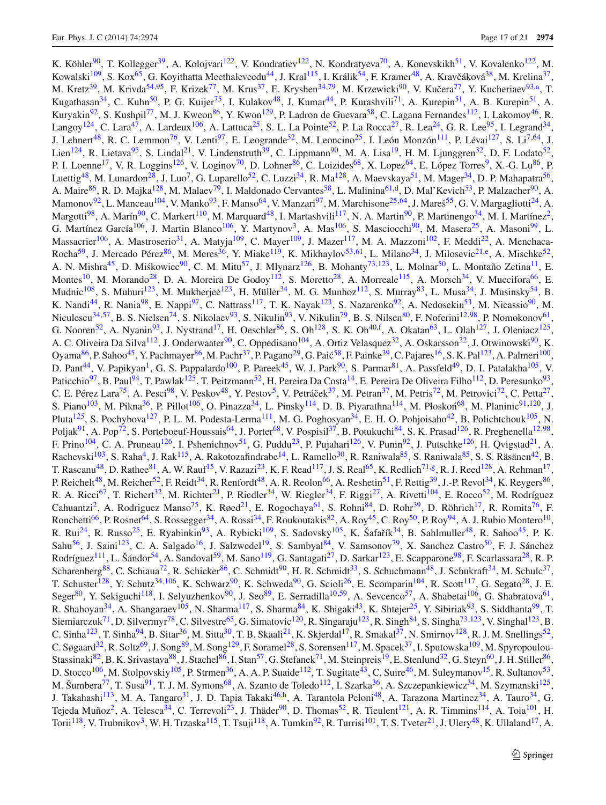K. Köhler<sup>90</sup>, T. Kollegger<sup>39</sup>, A. Kolojvari<sup>122</sup>, V. Kondratiev<sup>122</sup>, N. Kondratyeva<sup>70</sup>, A. Konevskikh<sup>51</sup>, V. Kovalenko<sup>122</sup>, M. Kowalski<sup>109</sup>, S. Kox<sup>65</sup>, G. Koyithatta Meethaleveedu<sup>44</sup>, J. Kral<sup>115</sup>, I. Králik<sup>54</sup>, F. Kramer<sup>48</sup>, A. Kravčáková<sup>38</sup>, M. Krelina<sup>37</sup>, M. Kretz<sup>39</sup>, M. Krivda<sup>54,95</sup>, F. Krizek<sup>77</sup>, M. Krus<sup>37</sup>, E. Kryshen<sup>34,79</sup>, M. Krzewicki<sup>90</sup>, V. Kučera<sup>77</sup>, Y. Kucheriaev<sup>93,a</sup>, T. Kugathasan<sup>34</sup>, C. Kuhn<sup>50</sup>, P. G. Kuijer<sup>75</sup>, I. Kulakov<sup>48</sup>, J. Kumar<sup>44</sup>, P. Kurashvili<sup>71</sup>, A. Kurepin<sup>51</sup>, A. B. Kurepin<sup>51</sup>, A. Kuryakin<sup>92</sup>, S. Kushpil<sup>77</sup>, M. J. Kweon<sup>86</sup>, Y. Kwon<sup>129</sup>, P. Ladron de Guevara<sup>58</sup>, C. Lagana Fernandes<sup>112</sup>, I. Lakomov<sup>46</sup>, R. Langoy<sup>124</sup>, C. Lara<sup>47</sup>, A. Lardeux<sup>106</sup>, A. Lattuca<sup>25</sup>, S. L. La Pointe<sup>52</sup>, P. La Rocca<sup>27</sup>, R. Lea<sup>24</sup>, G. R. Lee<sup>95</sup>, I. Legrand<sup>34</sup>, J. Lehnert<sup>48</sup>, R. C. Lemmon<sup>76</sup>, V. Lenti<sup>97</sup>, E. Leogrande<sup>52</sup>, M. Leoncino<sup>25</sup>, I. León Monzón<sup>111</sup>, P. Lévai<sup>127</sup>, S. Li<sup>7,64</sup>, J. Lien<sup>124</sup>, R. Lietava<sup>95</sup>, S. Lindal<sup>21</sup>, V. Lindenstruth<sup>39</sup>, C. Lippmann<sup>90</sup>, M. A. Lisa<sup>19</sup>, H. M. Ljunggren<sup>32</sup>, D. F. Lodato<sup>52</sup>, P. I. Loenne<sup>17</sup>, V. R. Loggins<sup>126</sup>, V. Loginov<sup>70</sup>, D. Lohner<sup>86</sup>, C. Loizides<sup>68</sup>, X. Lopez<sup>64</sup>, E. López Torres<sup>9</sup>, X.-G. Lu<sup>86</sup>, P. Luettig<sup>48</sup>, M. Lunardon<sup>28</sup>, J. Luo<sup>7</sup>, G. Luparello<sup>52</sup>, C. Luzzi<sup>34</sup>, R. Ma<sup>128</sup>, A. Maevskaya<sup>51</sup>, M. Mager<sup>34</sup>, D. P. Mahapatra<sup>56</sup>, A. Maire<sup>86</sup>, R. D. Majka<sup>128</sup>, M. Malaev<sup>79</sup>, I. Maldonado Cervantes<sup>58</sup>, L. Malinina<sup>61,d</sup>, D. Mal'Kevich<sup>53</sup>, P. Malzacher<sup>90</sup>, A. Mamonov<sup>92</sup>, L. Manceau<sup>104</sup>, V. Manko<sup>93</sup>, F. Manso<sup>64</sup>, V. Manzari<sup>97</sup>, M. Marchisone<sup>25,64</sup>, J. Mareš<sup>55</sup>, G. V. Margagliotti<sup>24</sup>, A. Margotti<sup>98</sup>, A. Marín<sup>90</sup>, C. Markert<sup>110</sup>, M. Marquard<sup>48</sup>, I. Martashvili<sup>117</sup>, N. A. Martin<sup>90</sup>, P. Martinengo<sup>34</sup>, M. I. Martínez<sup>2</sup>, G. Martínez García<sup>106</sup>, J. Martin Blanco<sup>106</sup>, Y. Martynov<sup>3</sup>, A. Mas<sup>106</sup>, S. Masciocchi<sup>90</sup>, M. Masera<sup>25</sup>, A. Masoni<sup>99</sup>, L. Massacrier<sup>106</sup>, A. Mastroserio<sup>31</sup>, A. Matyja<sup>109</sup>, C. Mayer<sup>109</sup>, J. Mazer<sup>117</sup>, M. A. Mazzoni<sup>102</sup>, F. Meddi<sup>22</sup>, A. Menchaca-Rocha<sup>59</sup>, J. Mercado Pérez<sup>86</sup>, M. Meres<sup>36</sup>, Y. Miake<sup>119</sup>, K. Mikhaylov<sup>53,61</sup>, L. Milano<sup>34</sup>, J. Milosevic<sup>21,e</sup>, A. Mischke<sup>52</sup>, A. N. Mishra<sup>45</sup>, D. Miśkowiec<sup>90</sup>, C. M. Mitu<sup>57</sup>, J. Mlynarz<sup>126</sup>, B. Mohanty<sup>73,123</sup>, L. Molnar<sup>50</sup>, L. Montaño Zetina<sup>11</sup>, E. Montes<sup>10</sup>, M. Morando<sup>28</sup>, D. A. Moreira De Godoy<sup>112</sup>, S. Moretto<sup>28</sup>, A. Morreale<sup>115</sup>, A. Morsch<sup>34</sup>, V. Muccifora<sup>66</sup>, E. Mudnic<sup>108</sup>, S. Muhuri<sup>123</sup>, M. Mukherjee<sup>123</sup>, H. Müller<sup>34</sup>, M. G. Munhoz<sup>112</sup>, S. Murray<sup>83</sup>, L. Musa<sup>34</sup>, J. Musinsky<sup>54</sup>, B. K. Nandi<sup>44</sup>, R. Nania<sup>98</sup>, E. Nappi<sup>97</sup>, C. Nattrass<sup>117</sup>, T. K. Nayak<sup>123</sup>, S. Nazarenko<sup>92</sup>, A. Nedosekin<sup>53</sup>, M. Nicassio<sup>90</sup>, M. Niculescu<sup>34,57</sup>, B. S. Nielsen<sup>74</sup>, S. Nikolaev<sup>93</sup>, S. Nikulin<sup>93</sup>, V. Nikulin<sup>79</sup>, B. S. Nilsen<sup>80</sup>, F. Noferini<sup>12,98</sup>, P. Nomokonov<sup>61</sup>, G. Nooren<sup>52</sup>, A. Nyanin<sup>93</sup>, J. Nystrand<sup>17</sup>, H. Oeschler<sup>86</sup>, S. Oh<sup>128</sup>, S. K. Oh<sup>40,f</sup>, A. Okatan<sup>63</sup>, L. Olah<sup>127</sup>, J. Oleniacz<sup>125</sup>, A. C. Oliveira Da Silva<sup>112</sup>, J. Onderwaater<sup>90</sup>, C. Oppedisano<sup>104</sup>, A. Ortiz Velasquez<sup>32</sup>, A. Oskarsson<sup>32</sup>, J. Otwinowski<sup>90</sup>, K. Oyama<sup>86</sup>, P. Sahoo<sup>45</sup>, Y. Pachmayer<sup>86</sup>, M. Pachr<sup>37</sup>, P. Pagano<sup>29</sup>, G. Paić<sup>58</sup>, F. Painke<sup>39</sup>, C. Pajares<sup>16</sup>, S. K. Pal<sup>123</sup>, A. Palmeri<sup>100</sup>, D. Pant<sup>44</sup>, V. Papikyan<sup>1</sup>, G. S. Pappalardo<sup>100</sup>, P. Pareek<sup>45</sup>, W. J. Park<sup>90</sup>, S. Parmar<sup>81</sup>, A. Passfeld<sup>49</sup>, D. I. Patalakha<sup>105</sup>, V. Paticchio<sup>97</sup>, B. Paul<sup>94</sup>, T. Pawlak<sup>125</sup>, T. Peitzmann<sup>52</sup>, H. Pereira Da Costa<sup>14</sup>, E. Pereira De Oliveira Filho<sup>112</sup>, D. Peresunko<sup>93</sup>, C. E. Pérez Lara<sup>75</sup>, A. Pesci<sup>98</sup>, V. Peskov<sup>48</sup>, Y. Pestov<sup>5</sup>, V. Petráček<sup>37</sup>, M. Petran<sup>37</sup>, M. Petris<sup>72</sup>, M. Petrovici<sup>72</sup>, C. Petta<sup>27</sup>, S. Piano<sup>103</sup>, M. Pikna<sup>36</sup>, P. Pillot<sup>106</sup>, O. Pinazza<sup>34</sup>, L. Pinsky<sup>114</sup>, D. B. Piyarathna<sup>114</sup>, M. Płoskoń<sup>68</sup>, M. Planinic<sup>91,120</sup>, J. Pluta<sup>125</sup>, S. Pochybova<sup>127</sup>, P. L. M. Podesta-Lerma<sup>111</sup>, M. G. Poghosyan<sup>34</sup>, E. H. O. Pohjoisaho<sup>42</sup>, B. Polichtchouk<sup>105</sup>, N. Poljak<sup>91</sup>, A. Pop<sup>72</sup>, S. Porteboeuf-Houssais<sup>64</sup>, J. Porter<sup>68</sup>, V. Pospisil<sup>37</sup>, B. Potukuchi<sup>84</sup>, S. K. Prasad<sup>126</sup>, R. Preghenella<sup>12,98</sup>, F. Prino<sup>104</sup>, C. A. Pruneau<sup>126</sup>, I. Pshenichnov<sup>51</sup>, G. Puddu<sup>23</sup>, P. Pujahari<sup>126</sup>, V. Punin<sup>92</sup>, J. Putschke<sup>126</sup>, H. Qvigstad<sup>21</sup>, A. Rachevski<sup>103</sup>, S. Raha<sup>4</sup>, J. Rak<sup>115</sup>, A. Rakotozafindrabe<sup>14</sup>, L. Ramello<sup>30</sup>, R. Raniwala<sup>85</sup>, S. Raniwala<sup>85</sup>, S. S. Räsänen<sup>42</sup>, B. T. Rascanu<sup>48</sup>, D. Rathee<sup>81</sup>, A. W. Rauf<sup>15</sup>, V. Razazi<sup>23</sup>, K. F. Read<sup>117</sup>, J. S. Real<sup>65</sup>, K. Redlich<sup>71,g</sup>, R. J. Reed<sup>128</sup>, A. Rehman<sup>17</sup>, P. Reichelt<sup>48</sup>, M. Reicher<sup>52</sup>, F. Reidt<sup>34</sup>, R. Renfordt<sup>48</sup>, A. R. Reolon<sup>66</sup>, A. Reshetin<sup>51</sup>, F. Rettig<sup>39</sup>, J.-P. Revol<sup>34</sup>, K. Reygers<sup>86</sup>, R. A. Ricci<sup>67</sup>, T. Richert<sup>32</sup>, M. Richter<sup>21</sup>, P. Riedler<sup>34</sup>, W. Riegler<sup>34</sup>, F. Riggi<sup>27</sup>, A. Rivetti<sup>104</sup>, E. Rocco<sup>52</sup>, M. Rodríguez Cahuantzi<sup>2</sup>, A. Rodriguez Manso<sup>75</sup>, K. Røed<sup>21</sup>, E. Rogochaya<sup>61</sup>, S. Rohni<sup>84</sup>, D. Rohr<sup>39</sup>, D. Röhrich<sup>17</sup>, R. Romita<sup>76</sup>, F. Ronchetti<sup>66</sup>, P. Rosnet<sup>64</sup>, S. Rossegger<sup>34</sup>, A. Rossi<sup>34</sup>, F. Roukoutakis<sup>82</sup>, A. Roy<sup>45</sup>, C. Roy<sup>50</sup>, P. Roy<sup>94</sup>, A. J. Rubio Montero<sup>10</sup>, R. Rui<sup>24</sup>, R. Russo<sup>25</sup>, E. Ryabinkin<sup>93</sup>, A. Rybicki<sup>109</sup>, S. Sadovsky<sup>105</sup>, K. Šafařík<sup>34</sup>, B. Sahlmuller<sup>48</sup>, R. Sahoo<sup>45</sup>, P. K. Sahu<sup>56</sup>, J. Saini<sup>123</sup>, C. A. Salgado<sup>16</sup>, J. Salzwedel<sup>19</sup>, S. Sambyal<sup>84</sup>, V. Samsonov<sup>79</sup>, X. Sanchez Castro<sup>50</sup>, F. J. Sánchez Rodríguez<sup>111</sup>, L. Šándor<sup>54</sup>, A. Sandoval<sup>59</sup>, M. Sano<sup>119</sup>, G. Santagati<sup>27</sup>, D. Sarkar<sup>123</sup>, E. Scapparone<sup>98</sup>, F. Scarlassara<sup>28</sup>, R. P. Scharenberg<sup>88</sup>, C. Schiaua<sup>72</sup>, R. Schicker<sup>86</sup>, C. Schmidt<sup>90</sup>, H. R. Schmidt<sup>33</sup>, S. Schuchmann<sup>48</sup>, J. Schukraft<sup>34</sup>, M. Schulc<sup>37</sup>, T. Schuster<sup>128</sup>, Y. Schutz<sup>34,106</sup>, K. Schwarz<sup>90</sup>, K. Schweda<sup>90</sup>, G. Scioli<sup>26</sup>, E. Scomparin<sup>104</sup>, R. Scott<sup>117</sup>, G. Segato<sup>28</sup>, J. E. Seger<sup>80</sup>, Y. Sekiguchi<sup>118</sup>, I. Selyuzhenkov<sup>90</sup>, J. Seo<sup>89</sup>, E. Serradilla<sup>10,59</sup>, A. Sevcenco<sup>57</sup>, A. Shabetai<sup>106</sup>, G. Shabratova<sup>61</sup>, R. Shahoyan<sup>34</sup>, A. Shangaraev<sup>105</sup>, N. Sharma<sup>117</sup>, S. Sharma<sup>84</sup>, K. Shigaki<sup>43</sup>, K. Shtejer<sup>25</sup>, Y. Sibiriak<sup>93</sup>, S. Siddhanta<sup>99</sup>, T. Siemiarczuk<sup>71</sup>, D. Silvermyr<sup>78</sup>, C. Silvestre<sup>65</sup>, G. Simatovic<sup>120</sup>, R. Singaraju<sup>123</sup>, R. Singh<sup>84</sup>, S. Singha<sup>73,123</sup>, V. Singhal<sup>123</sup>, B. C. Sinha<sup>123</sup>, T. Sinha<sup>94</sup>, B. Sitar<sup>36</sup>, M. Sitta<sup>30</sup>, T. B. Skaali<sup>21</sup>, K. Skjerdal<sup>17</sup>, R. Smakal<sup>37</sup>, N. Smirnov<sup>128</sup>, R. J. M. Snellings<sup>52</sup>, C. Søgaard<sup>32</sup>, R. Soltz<sup>69</sup>, J. Song<sup>89</sup>, M. Song<sup>129</sup>, F. Soramel<sup>28</sup>, S. Sorensen<sup>117</sup>, M. Spacek<sup>37</sup>, I. Sputowska<sup>109</sup>, M. Spyropoulou-Stassinaki $^{82}$ , B. K. Srivastava $^{88}$ , J. Stachel $^{86}$ , I. Stan<sup>57</sup>, G. Stefanek<sup>71</sup>, M. Steinpreis<sup>19</sup>, E. Stenlund<sup>32</sup>, G. Steyn<sup>60</sup>, J. H. Stiller<sup>86</sup>, D. Stocco<sup>106</sup>, M. Stolpovskiy<sup>105</sup>, P. Strmen<sup>36</sup>, A. A. P. Suaide<sup>112</sup>, T. Sugitate<sup>43</sup>, C. Suire<sup>46</sup>, M. Suleymanov<sup>15</sup>, R. Sultanov<sup>53</sup>, M. Šumbera<sup>77</sup>, T. Susa<sup>91</sup>, T. J. M. Symons<sup>68</sup>, A. Szanto de Toledo<sup>112</sup>, I. Szarka<sup>36</sup>, A. Szczepankiewicz<sup>34</sup>, M. Szymanski<sup>125</sup>, J. Takahashi<sup>113</sup>, M. A. Tangaro<sup>31</sup>, J. D. Tapia Takaki<sup>46,h</sup>, A. Tarantola Peloni<sup>48</sup>, A. Tarazona Martinez<sup>34</sup>, A. Tauro<sup>34</sup>, G. Tejeda Muñoz<sup>2</sup>, A. Telesca<sup>34</sup>, C. Terrevoli<sup>23</sup>, J. Thäder<sup>90</sup>, D. Thomas<sup>52</sup>, R. Tieulent<sup>121</sup>, A. R. Timmins<sup>114</sup>, A. Toia<sup>101</sup>, H. Torii<sup>118</sup>, V. Trubnikov<sup>3</sup>, W. H. Trzaska<sup>115</sup>, T. Tsuji<sup>118</sup>, A. Tumkin<sup>92</sup>, R. Turrisi<sup>101</sup>, T. S. Tveter<sup>21</sup>, J. Ulery<sup>48</sup>, K. Ullaland<sup>17</sup>, A.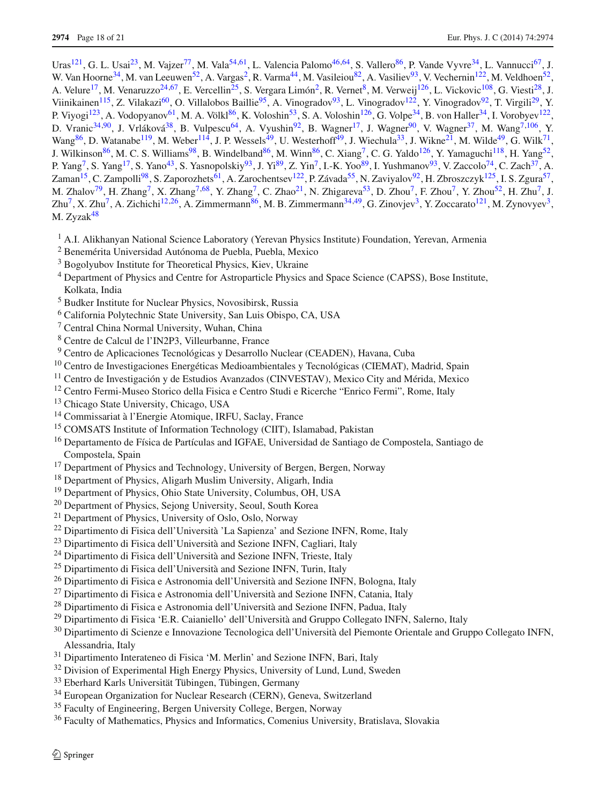Uras<sup>121</sup>, G. L. Usai<sup>23</sup>, M. Vaizer<sup>77</sup>, M. Vala<sup>54,61</sup>, L. Valencia Palomo<sup>46,64</sup>, S. Vallero<sup>86</sup>, P. Vande Vyvre<sup>34</sup>, L. Vannucci<sup>67</sup>, J. W. Van Hoorne<sup>34</sup>, M. van Leeuwen<sup>52</sup>, A. Vargas<sup>2</sup>, R. Varma<sup>44</sup>, M. Vasileiou<sup>82</sup>, A. Vasiliev<sup>93</sup>, V. Vechernin<sup>122</sup>, M. Veldhoen<sup>52</sup>, A. Velure<sup>17</sup>, M. Venaruzzo<sup>24,67</sup>, E. Vercellin<sup>25</sup>, S. Vergara Limón<sup>2</sup>, R. Vernet<sup>8</sup>, M. Verweij<sup>126</sup>, L. Vickovic<sup>108</sup>, G. Viesti<sup>28</sup>, J. Viinikainen<sup>115</sup>, Z. Vilakazi<sup>60</sup>, O. Villalobos Baillie<sup>95</sup>, A. Vinogradov<sup>93</sup>, L. Vinogradov<sup>122</sup>, Y. Vinogradov<sup>92</sup>, T. Virgili<sup>29</sup>, Y. P. Viyogi<sup>123</sup>, A. Vodopyanov<sup>61</sup>, M. A. Völkl<sup>86</sup>, K. Voloshin<sup>53</sup>, S. A. Voloshin<sup>126</sup>, G. Volpe<sup>34</sup>, B. von Haller<sup>34</sup>, I. Vorobyev<sup>122</sup>, D. Vranic<sup>34,90</sup>, J. Vrláková<sup>38</sup>, B. Vulpescu<sup>64</sup>, A. Vyushin<sup>92</sup>, B. Wagner<sup>17</sup>, J. Wagner<sup>90</sup>, V. Wagner<sup>37</sup>, M. Wang<sup>7,106</sup>, Y. Wang<sup>86</sup>, D. Watanabe<sup>119</sup>, M. Weber<sup>114</sup>, J. P. Wessels<sup>49</sup>, U. Westerhoff<sup>49</sup>, J. Wiechula<sup>33</sup>, J. Wikne<sup>21</sup>, M. Wilde<sup>49</sup>, G. Wilk<sup>71</sup>, J. Wilkinson<sup>86</sup>, M. C. S. Williams<sup>98</sup>, B. Windelband<sup>86</sup>, M. Winn<sup>86</sup>, C. Xiang<sup>7</sup>, C. G. Yaldo<sup>126</sup>, Y. Yamaguchi<sup>118</sup>, H. Yang<sup>52</sup>, P. Yang<sup>7</sup>, S. Yang<sup>17</sup>, S. Yano<sup>43</sup>, S. Yasnopolskiy<sup>93</sup>, J. Yi<sup>89</sup>, Z. Yin<sup>7</sup>, I.-K. Yoo<sup>89</sup>, I. Yushmanov<sup>93</sup>, V. Zaccolo<sup>74</sup>, C. Zach<sup>37</sup>, A. Zaman<sup>15</sup>, C. Zampolli<sup>98</sup>, S. Zaporozhets<sup>61</sup>, A. Zarochentsev<sup>122</sup>, P. Závada<sup>55</sup>, N. Zaviyalov<sup>92</sup>, H. Zbroszczyk<sup>125</sup>, I. S. Zgura<sup>57</sup>, M. Zhalov<sup>79</sup>, H. Zhang<sup>7</sup>, X. Zhang<sup>7,68</sup>, Y. Zhang<sup>7</sup>, C. Zhao<sup>21</sup>, N. Zhigareva<sup>53</sup>, D. Zhou<sup>7</sup>, F. Zhou<sup>7</sup>, Y. Zhou<sup>52</sup>, H. Zhu<sup>7</sup>, J.  $Zhu^7$ , X. Zhu<sup>7</sup>, A. Zichichi<sup>12,26</sup>, A. Zimmermann<sup>86</sup>, M. B. Zimmermann<sup>34,49</sup>, G. Zinovjev<sup>3</sup>, Y. Zoccarato<sup>121</sup>, M. Zynovyev<sup>3</sup>, M. Zyzak<sup>48</sup>

- <sup>1</sup> A.I. Alikhanyan National Science Laboratory (Yerevan Physics Institute) Foundation, Yerevan, Armenia
- <span id="page-17-25"></span><span id="page-17-5"></span><sup>2</sup> Benemérita Universidad Autónoma de Puebla, Puebla, Mexico
- <sup>3</sup> Bogolyubov Institute for Theoretical Physics, Kiev, Ukraine
- <span id="page-17-34"></span><span id="page-17-26"></span><sup>4</sup> Department of Physics and Centre for Astroparticle Physics and Space Science (CAPSS), Bose Institute, Kolkata, India
- <sup>5</sup> Budker Institute for Nuclear Physics, Novosibirsk, Russia
- <span id="page-17-32"></span><span id="page-17-18"></span><sup>6</sup> California Polytechnic State University, San Luis Obispo, CA, USA
- <span id="page-17-35"></span><sup>7</sup> Central China Normal University, Wuhan, China
- <span id="page-17-21"></span><span id="page-17-15"></span><sup>8</sup> Centre de Calcul de l'IN2P3, Villeurbanne, France
- <span id="page-17-29"></span><span id="page-17-23"></span><span id="page-17-4"></span><sup>9</sup> Centro de Aplicaciones Tecnológicas y Desarrollo Nuclear (CEADEN), Havana, Cuba
- <sup>10</sup> Centro de Investigaciones Energéticas Medioambientales y Tecnológicas (CIEMAT), Madrid, Spain
- <sup>11</sup> Centro de Investigación y de Estudios Avanzados (CINVESTAV), Mexico City and Mérida, Mexico
- <sup>12</sup> Centro Fermi-Museo Storico della Fisica e Centro Studi e Ricerche "Enrico Fermi", Rome, Italy
- <span id="page-17-11"></span><sup>13</sup> Chicago State University, Chicago, USA
- <span id="page-17-3"></span><sup>14</sup> Commissariat à l'Energie Atomique, IRFU, Saclay, France
- <span id="page-17-9"></span><sup>15</sup> COMSATS Institute of Information Technology (CIIT), Islamabad, Pakistan
- <sup>16</sup> Departamento de Física de Partículas and IGFAE, Universidad de Santiago de Compostela, Santiago de Compostela, Spain
- <span id="page-17-8"></span><span id="page-17-2"></span><sup>17</sup> Department of Physics and Technology, University of Bergen, Bergen, Norway
- <span id="page-17-28"></span><sup>18</sup> Department of Physics, Aligarh Muslim University, Aligarh, India
- <span id="page-17-33"></span><span id="page-17-31"></span><span id="page-17-13"></span><sup>19</sup> Department of Physics, Ohio State University, Columbus, OH, USA
- <sup>20</sup> Department of Physics, Sejong University, Seoul, South Korea
- <sup>21</sup> Department of Physics, University of Oslo, Oslo, Norway
- <span id="page-17-20"></span><sup>22</sup> Dipartimento di Fisica dell'Università 'La Sapienza' and Sezione INFN, Rome, Italy
- <span id="page-17-19"></span><sup>23</sup> Dipartimento di Fisica dell'Università and Sezione INFN, Cagliari, Italy
- <span id="page-17-14"></span><sup>24</sup> Dipartimento di Fisica dell'Università and Sezione INFN, Trieste, Italy
- <span id="page-17-1"></span><sup>25</sup> Dipartimento di Fisica dell'Università and Sezione INFN, Turin, Italy
- <span id="page-17-12"></span><sup>26</sup> Dipartimento di Fisica e Astronomia dell'Università and Sezione INFN, Bologna, Italy
- <span id="page-17-17"></span> $27$  Dipartimento di Fisica e Astronomia dell'Università and Sezione INFN, Catania, Italy
- <span id="page-17-27"></span><sup>28</sup> Dipartimento di Fisica e Astronomia dell'Università and Sezione INFN, Padua, Italy
- <span id="page-17-24"></span><sup>29</sup> Dipartimento di Fisica 'E.R. Caianiello' dell'Università and Gruppo Collegato INFN, Salerno, Italy
- <sup>30</sup> Dipartimento di Scienze e Innovazione Tecnologica dell'Università del Piemonte Orientale and Gruppo Collegato INFN, Alessandria, Italy
- <span id="page-17-22"></span><span id="page-17-7"></span><sup>31</sup> Dipartimento Interateneo di Fisica 'M. Merlin' and Sezione INFN, Bari, Italy
- <span id="page-17-30"></span><sup>32</sup> Division of Experimental High Energy Physics, University of Lund, Lund, Sweden
- <span id="page-17-10"></span><sup>33</sup> Eberhard Karls Universität Tübingen, Tübingen, Germany
- <span id="page-17-6"></span><sup>34</sup> European Organization for Nuclear Research (CERN), Geneva, Switzerland
- <span id="page-17-16"></span><sup>35</sup> Faculty of Engineering, Bergen University College, Bergen, Norway
- <span id="page-17-0"></span><sup>36</sup> Faculty of Mathematics, Physics and Informatics, Comenius University, Bratislava, Slovakia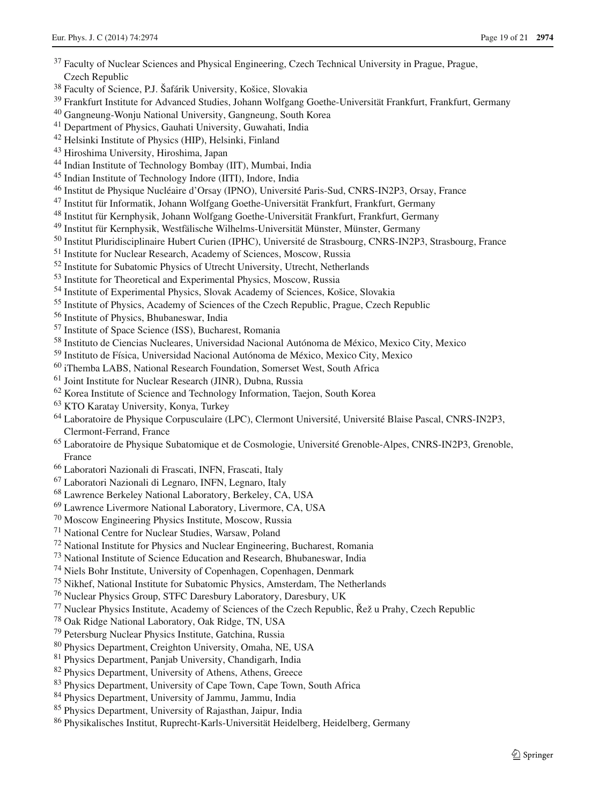- <sup>37</sup> Faculty of Nuclear Sciences and Physical Engineering, Czech Technical University in Prague, Prague, Czech Republic
- <span id="page-18-28"></span><span id="page-18-7"></span>Faculty of Science, P.J. Šafárik University, Košice, Slovakia
- <span id="page-18-15"></span>Frankfurt Institute for Advanced Studies, Johann Wolfgang Goethe-Universität Frankfurt, Frankfurt, Germany
- <span id="page-18-24"></span>Gangneung-Wonju National University, Gangneung, South Korea
- <span id="page-18-46"></span>Department of Physics, Gauhati University, Guwahati, India
- <span id="page-18-49"></span>Helsinki Institute of Physics (HIP), Helsinki, Finland
- <span id="page-18-4"></span>Hiroshima University, Hiroshima, Japan
- <span id="page-18-44"></span>Indian Institute of Technology Bombay (IIT), Mumbai, India
- <span id="page-18-33"></span>Indian Institute of Technology Indore (IITI), Indore, India
- <span id="page-18-31"></span>Institut de Physique Nucléaire d'Orsay (IPNO), Université Paris-Sud, CNRS-IN2P3, Orsay, France
- <span id="page-18-11"></span>Institut für Informatik, Johann Wolfgang Goethe-Universität Frankfurt, Frankfurt, Germany
- <span id="page-18-10"></span>Institut für Kernphysik, Johann Wolfgang Goethe-Universität Frankfurt, Frankfurt, Germany
- <span id="page-18-21"></span>Institut für Kernphysik, Westfälische Wilhelms-Universität Münster, Münster, Germany
- <span id="page-18-37"></span>Institut Pluridisciplinaire Hubert Curien (IPHC), Université de Strasbourg, CNRS-IN2P3, Strasbourg, France
- <span id="page-18-23"></span>Institute for Nuclear Research, Academy of Sciences, Moscow, Russia
- <span id="page-18-6"></span>Institute for Subatomic Physics of Utrecht University, Utrecht, Netherlands
- <span id="page-18-41"></span>Institute for Theoretical and Experimental Physics, Moscow, Russia
- <span id="page-18-39"></span>Institute of Experimental Physics, Slovak Academy of Sciences, Košice, Slovakia
- <span id="page-18-18"></span>Institute of Physics, Academy of Sciences of the Czech Republic, Prague, Czech Republic
- <span id="page-18-35"></span>Institute of Physics, Bhubaneswar, India
- <span id="page-18-34"></span>Institute of Space Science (ISS), Bucharest, Romania
- <span id="page-18-22"></span>Instituto de Ciencias Nucleares, Universidad Nacional Autónoma de México, Mexico City, Mexico
- <span id="page-18-29"></span>Instituto de Física, Universidad Nacional Autónoma de México, Mexico City, Mexico
- <span id="page-18-19"></span>iThemba LABS, National Research Foundation, Somerset West, South Africa
- <span id="page-18-5"></span>Joint Institute for Nuclear Research (JINR), Dubna, Russia
- <span id="page-18-42"></span>Korea Institute of Science and Technology Information, Taejon, South Korea
- <span id="page-18-16"></span>KTO Karatay University, Konya, Turkey
- Laboratoire de Physique Corpusculaire (LPC), Clermont Université, Université Blaise Pascal, CNRS-IN2P3, Clermont-Ferrand, France
- <span id="page-18-12"></span> Laboratoire de Physique Subatomique et de Cosmologie, Université Grenoble-Alpes, CNRS-IN2P3, Grenoble, France
- <span id="page-18-25"></span>Laboratori Nazionali di Frascati, INFN, Frascati, Italy
- <span id="page-18-48"></span><span id="page-18-26"></span>Laboratori Nazionali di Legnaro, INFN, Legnaro, Italy
- <span id="page-18-0"></span>Lawrence Berkeley National Laboratory, Berkeley, CA, USA
- <span id="page-18-27"></span>Lawrence Livermore National Laboratory, Livermore, CA, USA
- <span id="page-18-36"></span>Moscow Engineering Physics Institute, Moscow, Russia
- <span id="page-18-8"></span>National Centre for Nuclear Studies, Warsaw, Poland
- <span id="page-18-45"></span>National Institute for Physics and Nuclear Engineering, Bucharest, Romania
- <span id="page-18-20"></span>National Institute of Science Education and Research, Bhubaneswar, India
- <span id="page-18-30"></span>Niels Bohr Institute, University of Copenhagen, Copenhagen, Denmark
- <span id="page-18-43"></span>Nikhef, National Institute for Subatomic Physics, Amsterdam, The Netherlands
- <span id="page-18-1"></span>Nuclear Physics Group, STFC Daresbury Laboratory, Daresbury, UK
- <span id="page-18-13"></span>77 Nuclear Physics Institute, Academy of Sciences of the Czech Republic, Řež u Prahy, Czech Republic
- <span id="page-18-40"></span>Oak Ridge National Laboratory, Oak Ridge, TN, USA
- <span id="page-18-32"></span>Petersburg Nuclear Physics Institute, Gatchina, Russia
- <span id="page-18-2"></span>Physics Department, Creighton University, Omaha, NE, USA
- <span id="page-18-38"></span>Physics Department, Panjab University, Chandigarh, India
- Physics Department, University of Athens, Athens, Greece
- <span id="page-18-47"></span><span id="page-18-17"></span><span id="page-18-14"></span>83 Physics Department, University of Cape Town, Cape Town, South Africa
- Physics Department, University of Jammu, Jammu, India
- Physics Department, University of Rajasthan, Jaipur, India
- <span id="page-18-9"></span><span id="page-18-3"></span>Physikalisches Institut, Ruprecht-Karls-Universität Heidelberg, Heidelberg, Germany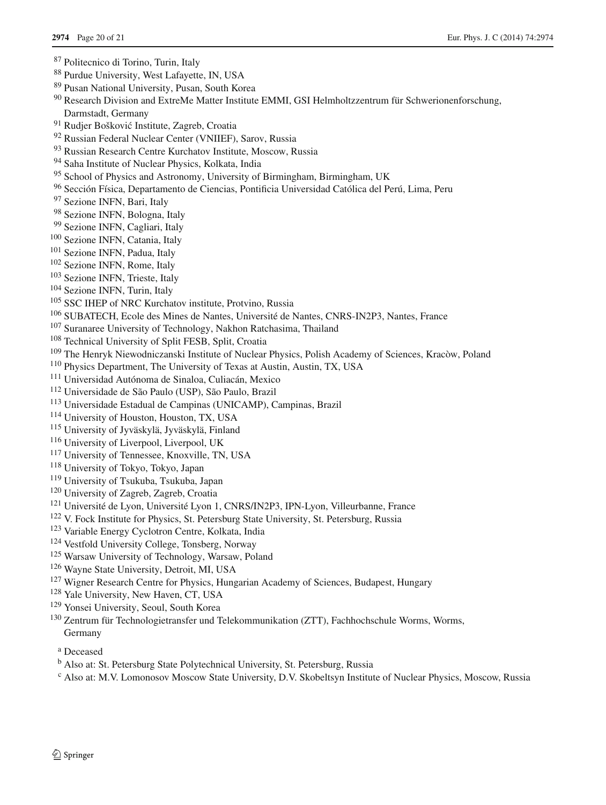- <span id="page-19-19"></span>Politecnico di Torino, Turin, Italy
- <span id="page-19-25"></span>Purdue University, West Lafayette, IN, USA
- <span id="page-19-8"></span>Pusan National University, Pusan, South Korea
- Research Division and ExtreMe Matter Institute EMMI, GSI Helmholtzzentrum für Schwerionenforschung, Darmstadt, Germany
- <span id="page-19-20"></span><span id="page-19-9"></span><sup>91</sup> Rudier Bošković Institute, Zagreb, Croatia
- Russian Federal Nuclear Center (VNIIEF), Sarov, Russia
- <span id="page-19-23"></span><span id="page-19-3"></span>Russian Research Centre Kurchatov Institute, Moscow, Russia
- <span id="page-19-4"></span>Saha Institute of Nuclear Physics, Kolkata, India
- <span id="page-19-21"></span>School of Physics and Astronomy, University of Birmingham, Birmingham, UK
- <span id="page-19-28"></span>Sección Física, Departamento de Ciencias, Pontificia Universidad Católica del Perú, Lima, Peru
- <span id="page-19-5"></span>Sezione INFN, Bari, Italy
- <span id="page-19-26"></span>Sezione INFN, Bologna, Italy
- <span id="page-19-12"></span><span id="page-19-10"></span>Sezione INFN, Cagliari, Italy
- Sezione INFN, Catania, Italy
- <span id="page-19-29"></span>Sezione INFN, Padua, Italy
- <span id="page-19-31"></span>Sezione INFN, Rome, Italy
- <span id="page-19-0"></span>Sezione INFN, Trieste, Italy
- <span id="page-19-17"></span>Sezione INFN, Turin, Italy
- <span id="page-19-11"></span><sup>105</sup> SSC IHEP of NRC Kurchatov institute, Protvino, Russia
- <span id="page-19-38"></span>SUBATECH, Ecole des Mines de Nantes, Université de Nantes, CNRS-IN2P3, Nantes, France
- <span id="page-19-32"></span><sup>107</sup> Suranaree University of Technology, Nakhon Ratchasima, Thailand
- <span id="page-19-14"></span>Technical University of Split FESB, Split, Croatia
- The Henryk Niewodniczanski Institute of Nuclear Physics, Polish Academy of Sciences, Kracòw, Poland
- <span id="page-19-40"></span><span id="page-19-37"></span>Physics Department, The University of Texas at Austin, Austin, TX, USA
- <span id="page-19-7"></span>Universidad Autónoma de Sinaloa, Culiacán, Mexico
- <span id="page-19-27"></span>Universidade de São Paulo (USP), São Paulo, Brazil
- Universidade Estadual de Campinas (UNICAMP), Campinas, Brazil
- <span id="page-19-22"></span><span id="page-19-15"></span>University of Houston, Houston, TX, USA
- University of Jyväskylä, Jyväskylä, Finland
- <span id="page-19-41"></span><span id="page-19-34"></span><span id="page-19-30"></span>University of Liverpool, Liverpool, UK
- <sup>117</sup> University of Tennessee, Knoxville, TN, USA
- <span id="page-19-16"></span>University of Tokyo, Tokyo, Japan
- University of Tsukuba, Tsukuba, Japan
- <span id="page-19-42"></span><span id="page-19-24"></span>University of Zagreb, Zagreb, Croatia
- Université de Lyon, Université Lyon 1, CNRS/IN2P3, IPN-Lyon, Villeurbanne, France
- <span id="page-19-6"></span><span id="page-19-1"></span>V. Fock Institute for Physics, St. Petersburg State University, St. Petersburg, Russia
- <span id="page-19-39"></span>Variable Energy Cyclotron Centre, Kolkata, India
- <span id="page-19-33"></span>Vestfold University College, Tonsberg, Norway
- Warsaw University of Technology, Warsaw, Poland
- <span id="page-19-18"></span><span id="page-19-13"></span>Wayne State University, Detroit, MI, USA
- 127 Wigner Research Centre for Physics, Hungarian Academy of Sciences, Budapest, Hungary
- <span id="page-19-35"></span><span id="page-19-2"></span>Yale University, New Haven, CT, USA
- Yonsei University, Seoul, South Korea
- Zentrum für Technologietransfer und Telekommunikation (ZTT), Fachhochschule Worms, Worms, Germany
- <span id="page-19-36"></span><sup>a</sup> Deceased
- <sup>b</sup> Also at: St. Petersburg State Polytechnical University, St. Petersburg, Russia
- <sup>c</sup> Also at: M.V. Lomonosov Moscow State University, D.V. Skobeltsyn Institute of Nuclear Physics, Moscow, Russia